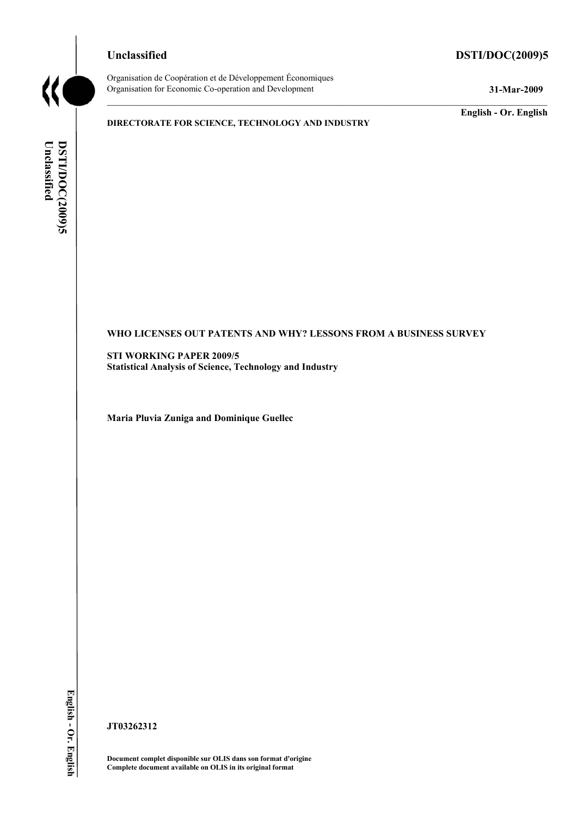# **Unclassified DSTI/DOC(2009)5**



Organisation de Coopération et de Développement Économiques Organisation for Economic Co-operation and Development **31-Mar-2009** 

## **DIRECTORATE FOR SCIENCE, TECHNOLOGY AND INDUSTRY**

**English - Or. English** 

Unclassified DSTI/DOC(2009)5 **Unclassified DSTI/DOC(2009)5 English - Or. English**

## **WHO LICENSES OUT PATENTS AND WHY? LESSONS FROM A BUSINESS SURVEY**

**STI WORKING PAPER 2009/5 Statistical Analysis of Science, Technology and Industry** 

**Maria Pluvia Zuniga and Dominique Guellec** 

**JT03262312** 

**Document complet disponible sur OLIS dans son format d'origine Complete document available on OLIS in its original format**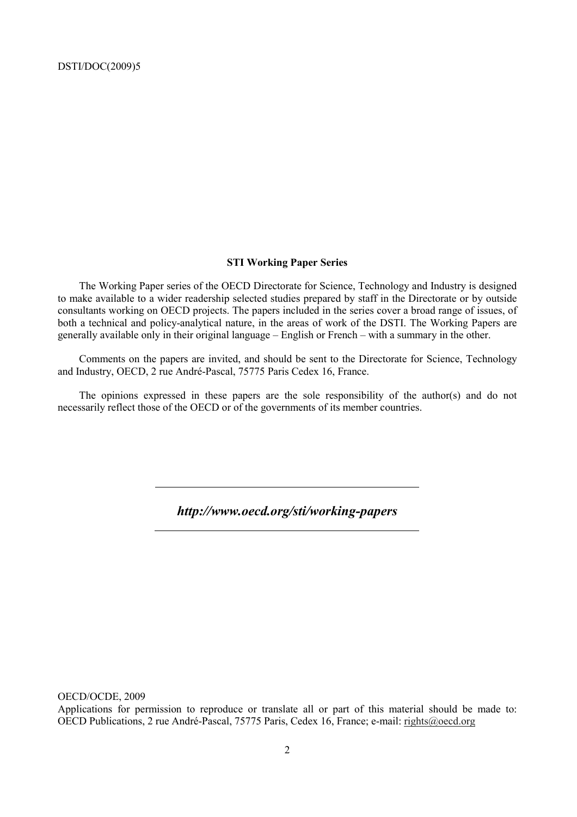## **STI Working Paper Series**

The Working Paper series of the OECD Directorate for Science, Technology and Industry is designed to make available to a wider readership selected studies prepared by staff in the Directorate or by outside consultants working on OECD projects. The papers included in the series cover a broad range of issues, of both a technical and policy-analytical nature, in the areas of work of the DSTI. The Working Papers are generally available only in their original language – English or French – with a summary in the other.

Comments on the papers are invited, and should be sent to the Directorate for Science, Technology and Industry, OECD, 2 rue André-Pascal, 75775 Paris Cedex 16, France.

The opinions expressed in these papers are the sole responsibility of the author(s) and do not necessarily reflect those of the OECD or of the governments of its member countries.

*http://www.oecd.org/sti/working-papers* 

OECD/OCDE, 2009

Applications for permission to reproduce or translate all or part of this material should be made to: OECD Publications, 2 rue André-Pascal, 75775 Paris, Cedex 16, France; e-mail: rights@oecd.org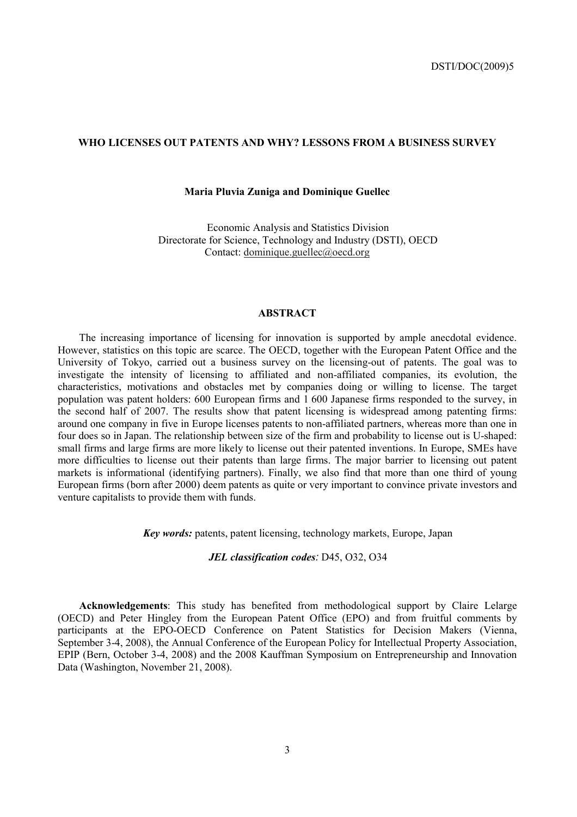## **WHO LICENSES OUT PATENTS AND WHY? LESSONS FROM A BUSINESS SURVEY**

## **Maria Pluvia Zuniga and Dominique Guellec**

Economic Analysis and Statistics Division Directorate for Science, Technology and Industry (DSTI), OECD Contact: dominique.guellec@oecd.org

## **ABSTRACT**

The increasing importance of licensing for innovation is supported by ample anecdotal evidence. However, statistics on this topic are scarce. The OECD, together with the European Patent Office and the University of Tokyo, carried out a business survey on the licensing-out of patents. The goal was to investigate the intensity of licensing to affiliated and non-affiliated companies, its evolution, the characteristics, motivations and obstacles met by companies doing or willing to license. The target population was patent holders: 600 European firms and 1 600 Japanese firms responded to the survey, in the second half of 2007. The results show that patent licensing is widespread among patenting firms: around one company in five in Europe licenses patents to non-affiliated partners, whereas more than one in four does so in Japan. The relationship between size of the firm and probability to license out is U-shaped: small firms and large firms are more likely to license out their patented inventions. In Europe, SMEs have more difficulties to license out their patents than large firms. The major barrier to licensing out patent markets is informational (identifying partners). Finally, we also find that more than one third of young European firms (born after 2000) deem patents as quite or very important to convince private investors and venture capitalists to provide them with funds.

*Key words:* patents, patent licensing, technology markets, Europe, Japan

*JEL classification codes:* D45, O32, O34

**Acknowledgements**: This study has benefited from methodological support by Claire Lelarge (OECD) and Peter Hingley from the European Patent Office (EPO) and from fruitful comments by participants at the EPO-OECD Conference on Patent Statistics for Decision Makers (Vienna, September 3-4, 2008), the Annual Conference of the European Policy for Intellectual Property Association. EPIP (Bern, October 3-4, 2008) and the 2008 Kauffman Symposium on Entrepreneurship and Innovation Data (Washington, November 21, 2008).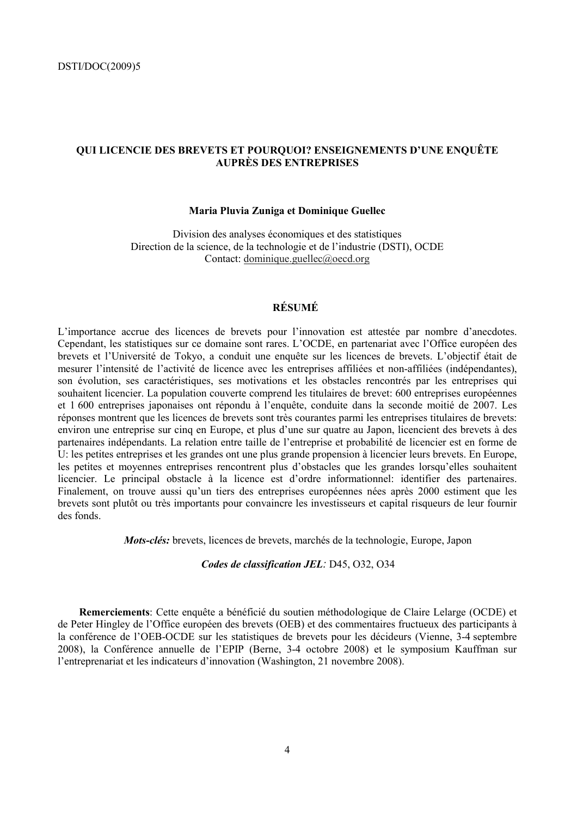# **QUI LICENCIE DES BREVETS ET POURQUOI? ENSEIGNEMENTS D'UNE ENQUÊTE AUPRÈS DES ENTREPRISES**

## **Maria Pluvia Zuniga et Dominique Guellec**

Division des analyses économiques et des statistiques Direction de la science, de la technologie et de l'industrie (DSTI), OCDE Contact: dominique.guellec@oecd.org

# **RÉSUMÉ**

L'importance accrue des licences de brevets pour l'innovation est attestée par nombre d'anecdotes. Cependant, les statistiques sur ce domaine sont rares. L'OCDE, en partenariat avec l'Office européen des brevets et l'Université de Tokyo, a conduit une enquête sur les licences de brevets. L'objectif était de mesurer l'intensité de l'activité de licence avec les entreprises affiliées et non-affiliées (indépendantes), son évolution, ses caractéristiques, ses motivations et les obstacles rencontrés par les entreprises qui souhaitent licencier. La population couverte comprend les titulaires de brevet: 600 entreprises européennes et 1 600 entreprises japonaises ont répondu à l'enquête, conduite dans la seconde moitié de 2007. Les réponses montrent que les licences de brevets sont très courantes parmi les entreprises titulaires de brevets: environ une entreprise sur cinq en Europe, et plus d'une sur quatre au Japon, licencient des brevets à des partenaires indépendants. La relation entre taille de l'entreprise et probabilité de licencier est en forme de U: les petites entreprises et les grandes ont une plus grande propension à licencier leurs brevets. En Europe, les petites et moyennes entreprises rencontrent plus d'obstacles que les grandes lorsqu'elles souhaitent licencier. Le principal obstacle à la licence est d'ordre informationnel: identifier des partenaires. Finalement, on trouve aussi qu'un tiers des entreprises européennes nées après 2000 estiment que les brevets sont plutôt ou très importants pour convaincre les investisseurs et capital risqueurs de leur fournir des fonds.

*Mots-clés:* brevets, licences de brevets, marchés de la technologie, Europe, Japon

*Codes de classification JEL:* D45, O32, O34

**Remerciements**: Cette enquête a bénéficié du soutien méthodologique de Claire Lelarge (OCDE) et de Peter Hingley de l'Office européen des brevets (OEB) et des commentaires fructueux des participants à la conférence de l'OEB-OCDE sur les statistiques de brevets pour les décideurs (Vienne, 3-4 septembre 2008), la Conférence annuelle de l'EPIP (Berne, 3-4 octobre 2008) et le symposium Kauffman sur l'entreprenariat et les indicateurs d'innovation (Washington, 21 novembre 2008).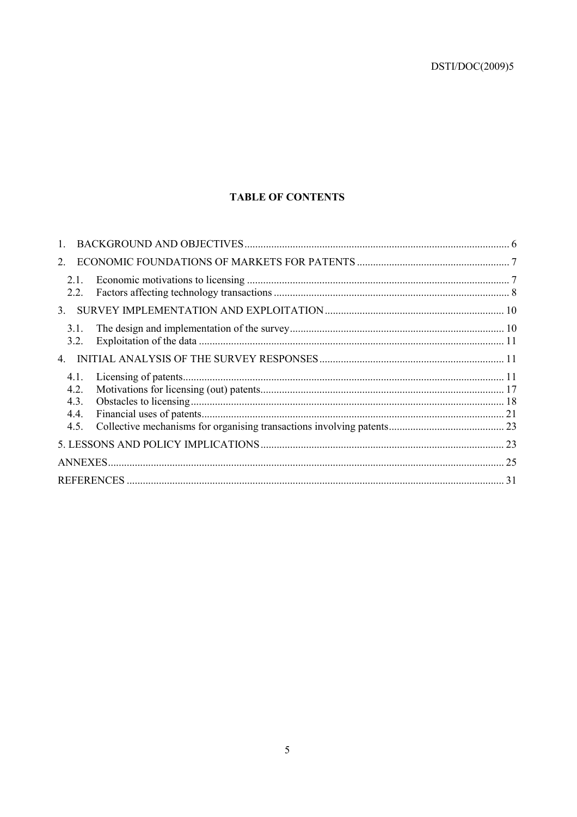# **TABLE OF CONTENTS**

| 2.                                   |  |
|--------------------------------------|--|
| 2.1<br>2.2.                          |  |
| 3 <sub>1</sub>                       |  |
| 3.1.<br>3.2.                         |  |
|                                      |  |
| 4.1.<br>4.2.<br>4.3.<br>4.4.<br>4.5. |  |
|                                      |  |
|                                      |  |
|                                      |  |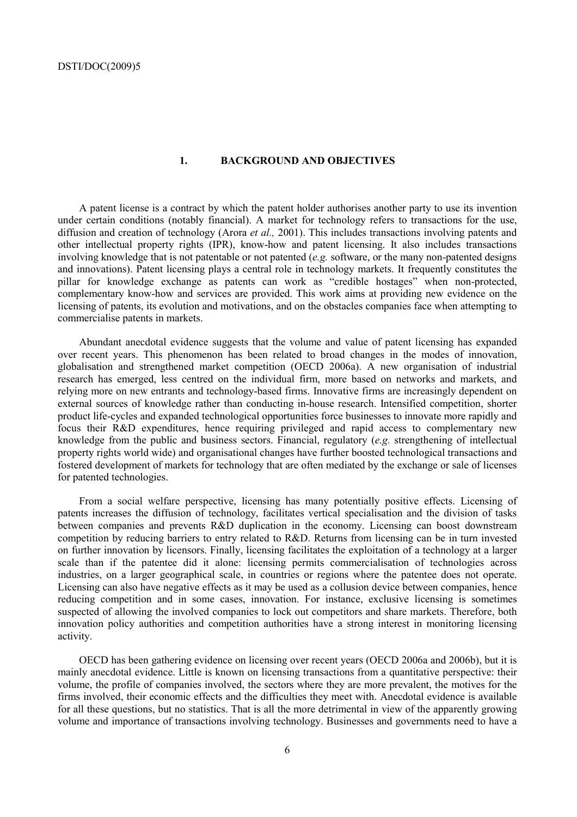#### **1. BACKGROUND AND OBJECTIVES**

A patent license is a contract by which the patent holder authorises another party to use its invention under certain conditions (notably financial). A market for technology refers to transactions for the use, diffusion and creation of technology (Arora *et al.,* 2001). This includes transactions involving patents and other intellectual property rights (IPR), know-how and patent licensing. It also includes transactions involving knowledge that is not patentable or not patented (*e.g.* software, or the many non-patented designs and innovations). Patent licensing plays a central role in technology markets. It frequently constitutes the pillar for knowledge exchange as patents can work as "credible hostages" when non-protected, complementary know-how and services are provided. This work aims at providing new evidence on the licensing of patents, its evolution and motivations, and on the obstacles companies face when attempting to commercialise patents in markets.

Abundant anecdotal evidence suggests that the volume and value of patent licensing has expanded over recent years. This phenomenon has been related to broad changes in the modes of innovation, globalisation and strengthened market competition (OECD 2006a). A new organisation of industrial research has emerged, less centred on the individual firm, more based on networks and markets, and relying more on new entrants and technology-based firms. Innovative firms are increasingly dependent on external sources of knowledge rather than conducting in-house research. Intensified competition, shorter product life-cycles and expanded technological opportunities force businesses to innovate more rapidly and focus their R&D expenditures, hence requiring privileged and rapid access to complementary new knowledge from the public and business sectors. Financial, regulatory (*e.g.* strengthening of intellectual property rights world wide) and organisational changes have further boosted technological transactions and fostered development of markets for technology that are often mediated by the exchange or sale of licenses for patented technologies.

From a social welfare perspective, licensing has many potentially positive effects. Licensing of patents increases the diffusion of technology, facilitates vertical specialisation and the division of tasks between companies and prevents R&D duplication in the economy. Licensing can boost downstream competition by reducing barriers to entry related to R&D. Returns from licensing can be in turn invested on further innovation by licensors. Finally, licensing facilitates the exploitation of a technology at a larger scale than if the patentee did it alone: licensing permits commercialisation of technologies across industries, on a larger geographical scale, in countries or regions where the patentee does not operate. Licensing can also have negative effects as it may be used as a collusion device between companies, hence reducing competition and in some cases, innovation. For instance, exclusive licensing is sometimes suspected of allowing the involved companies to lock out competitors and share markets. Therefore, both innovation policy authorities and competition authorities have a strong interest in monitoring licensing activity.

OECD has been gathering evidence on licensing over recent years (OECD 2006a and 2006b), but it is mainly anecdotal evidence. Little is known on licensing transactions from a quantitative perspective: their volume, the profile of companies involved, the sectors where they are more prevalent, the motives for the firms involved, their economic effects and the difficulties they meet with. Anecdotal evidence is available for all these questions, but no statistics. That is all the more detrimental in view of the apparently growing volume and importance of transactions involving technology. Businesses and governments need to have a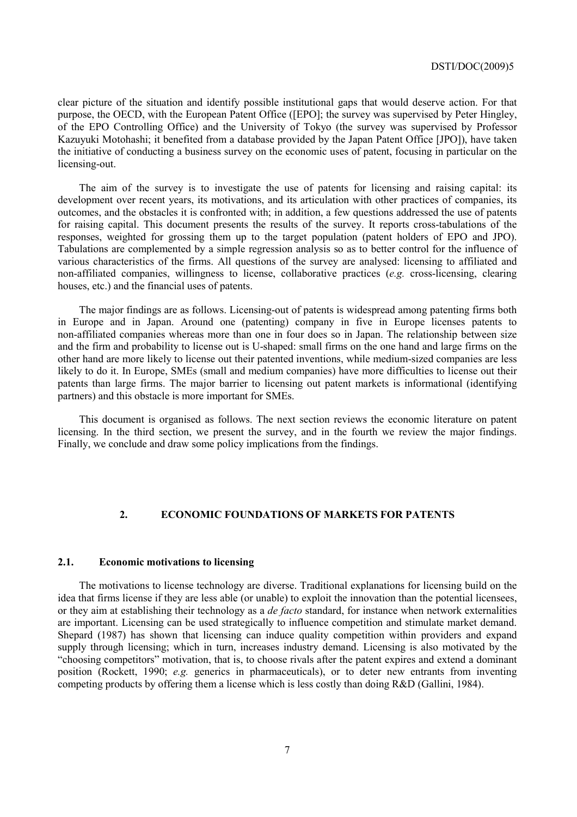clear picture of the situation and identify possible institutional gaps that would deserve action. For that purpose, the OECD, with the European Patent Office ([EPO]; the survey was supervised by Peter Hingley, of the EPO Controlling Office) and the University of Tokyo (the survey was supervised by Professor Kazuyuki Motohashi; it benefited from a database provided by the Japan Patent Office [JPO]), have taken the initiative of conducting a business survey on the economic uses of patent, focusing in particular on the licensing-out.

The aim of the survey is to investigate the use of patents for licensing and raising capital: its development over recent years, its motivations, and its articulation with other practices of companies, its outcomes, and the obstacles it is confronted with; in addition, a few questions addressed the use of patents for raising capital. This document presents the results of the survey. It reports cross-tabulations of the responses, weighted for grossing them up to the target population (patent holders of EPO and JPO). Tabulations are complemented by a simple regression analysis so as to better control for the influence of various characteristics of the firms. All questions of the survey are analysed: licensing to affiliated and non-affiliated companies, willingness to license, collaborative practices (*e.g.* cross-licensing, clearing houses, etc.) and the financial uses of patents.

The major findings are as follows. Licensing-out of patents is widespread among patenting firms both in Europe and in Japan. Around one (patenting) company in five in Europe licenses patents to non-affiliated companies whereas more than one in four does so in Japan. The relationship between size and the firm and probability to license out is U-shaped: small firms on the one hand and large firms on the other hand are more likely to license out their patented inventions, while medium-sized companies are less likely to do it. In Europe, SMEs (small and medium companies) have more difficulties to license out their patents than large firms. The major barrier to licensing out patent markets is informational (identifying partners) and this obstacle is more important for SMEs.

This document is organised as follows. The next section reviews the economic literature on patent licensing. In the third section, we present the survey, and in the fourth we review the major findings. Finally, we conclude and draw some policy implications from the findings.

## **2. ECONOMIC FOUNDATIONS OF MARKETS FOR PATENTS**

#### **2.1. Economic motivations to licensing**

The motivations to license technology are diverse. Traditional explanations for licensing build on the idea that firms license if they are less able (or unable) to exploit the innovation than the potential licensees, or they aim at establishing their technology as a *de facto* standard, for instance when network externalities are important. Licensing can be used strategically to influence competition and stimulate market demand. Shepard (1987) has shown that licensing can induce quality competition within providers and expand supply through licensing; which in turn, increases industry demand. Licensing is also motivated by the "choosing competitors" motivation, that is, to choose rivals after the patent expires and extend a dominant position (Rockett, 1990; *e.g.* generics in pharmaceuticals), or to deter new entrants from inventing competing products by offering them a license which is less costly than doing R&D (Gallini, 1984).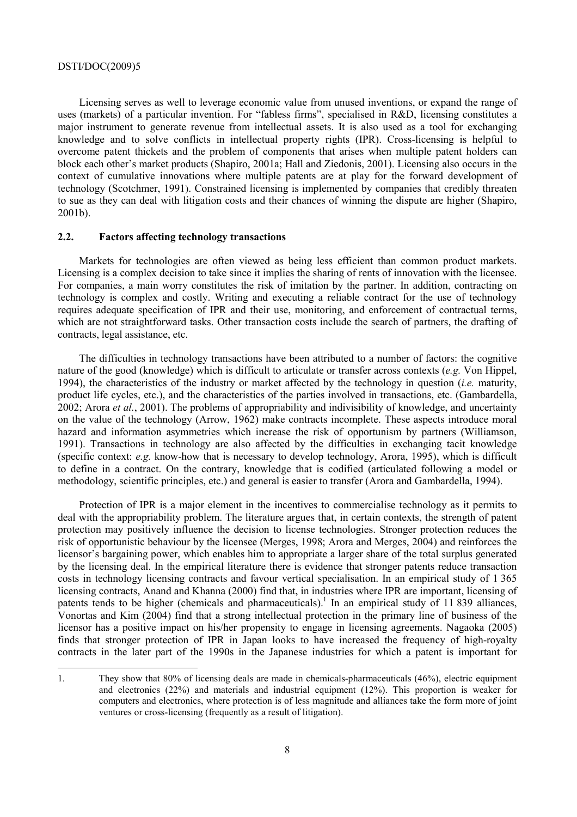Licensing serves as well to leverage economic value from unused inventions, or expand the range of uses (markets) of a particular invention. For "fabless firms", specialised in R&D, licensing constitutes a major instrument to generate revenue from intellectual assets. It is also used as a tool for exchanging knowledge and to solve conflicts in intellectual property rights (IPR). Cross-licensing is helpful to overcome patent thickets and the problem of components that arises when multiple patent holders can block each other's market products (Shapiro, 2001a; Hall and Ziedonis, 2001). Licensing also occurs in the context of cumulative innovations where multiple patents are at play for the forward development of technology (Scotchmer, 1991). Constrained licensing is implemented by companies that credibly threaten to sue as they can deal with litigation costs and their chances of winning the dispute are higher (Shapiro, 2001b).

#### **2.2. Factors affecting technology transactions**

Markets for technologies are often viewed as being less efficient than common product markets. Licensing is a complex decision to take since it implies the sharing of rents of innovation with the licensee. For companies, a main worry constitutes the risk of imitation by the partner. In addition, contracting on technology is complex and costly. Writing and executing a reliable contract for the use of technology requires adequate specification of IPR and their use, monitoring, and enforcement of contractual terms, which are not straightforward tasks. Other transaction costs include the search of partners, the drafting of contracts, legal assistance, etc.

The difficulties in technology transactions have been attributed to a number of factors: the cognitive nature of the good (knowledge) which is difficult to articulate or transfer across contexts (*e.g.* Von Hippel, 1994), the characteristics of the industry or market affected by the technology in question (*i.e.* maturity, product life cycles, etc.), and the characteristics of the parties involved in transactions, etc. (Gambardella, 2002; Arora *et al.*, 2001). The problems of appropriability and indivisibility of knowledge, and uncertainty on the value of the technology (Arrow, 1962) make contracts incomplete. These aspects introduce moral hazard and information asymmetries which increase the risk of opportunism by partners (Williamson, 1991). Transactions in technology are also affected by the difficulties in exchanging tacit knowledge (specific context: *e.g.* know-how that is necessary to develop technology, Arora, 1995), which is difficult to define in a contract. On the contrary, knowledge that is codified (articulated following a model or methodology, scientific principles, etc.) and general is easier to transfer (Arora and Gambardella, 1994).

Protection of IPR is a major element in the incentives to commercialise technology as it permits to deal with the appropriability problem. The literature argues that, in certain contexts, the strength of patent protection may positively influence the decision to license technologies. Stronger protection reduces the risk of opportunistic behaviour by the licensee (Merges, 1998; Arora and Merges, 2004) and reinforces the licensor's bargaining power, which enables him to appropriate a larger share of the total surplus generated by the licensing deal. In the empirical literature there is evidence that stronger patents reduce transaction costs in technology licensing contracts and favour vertical specialisation. In an empirical study of 1 365 licensing contracts, Anand and Khanna (2000) find that, in industries where IPR are important, licensing of patents tends to be higher (chemicals and pharmaceuticals).<sup>1</sup> In an empirical study of 11 839 alliances, Vonortas and Kim (2004) find that a strong intellectual protection in the primary line of business of the licensor has a positive impact on his/her propensity to engage in licensing agreements. Nagaoka (2005) finds that stronger protection of IPR in Japan looks to have increased the frequency of high-royalty contracts in the later part of the 1990s in the Japanese industries for which a patent is important for

<sup>1.</sup> They show that 80% of licensing deals are made in chemicals-pharmaceuticals (46%), electric equipment and electronics (22%) and materials and industrial equipment (12%). This proportion is weaker for computers and electronics, where protection is of less magnitude and alliances take the form more of joint ventures or cross-licensing (frequently as a result of litigation).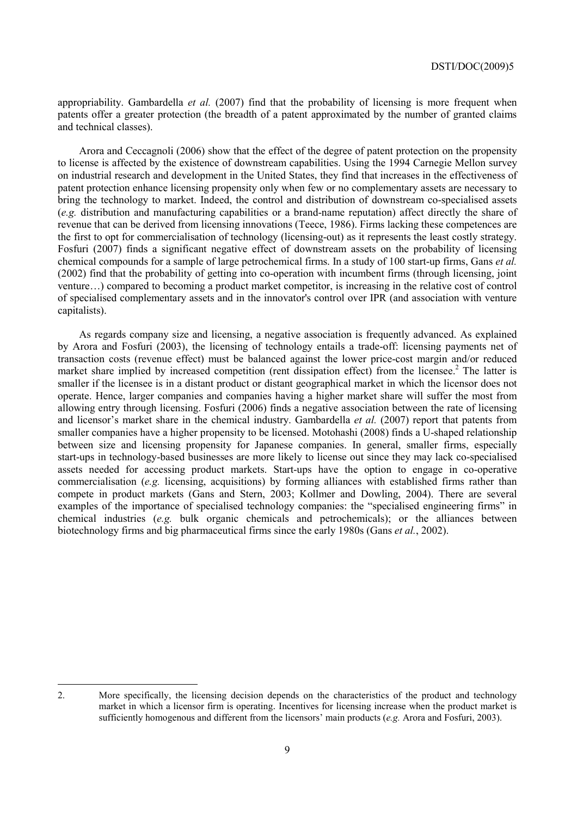appropriability. Gambardella *et al.* (2007) find that the probability of licensing is more frequent when patents offer a greater protection (the breadth of a patent approximated by the number of granted claims and technical classes).

Arora and Ceccagnoli (2006) show that the effect of the degree of patent protection on the propensity to license is affected by the existence of downstream capabilities. Using the 1994 Carnegie Mellon survey on industrial research and development in the United States, they find that increases in the effectiveness of patent protection enhance licensing propensity only when few or no complementary assets are necessary to bring the technology to market. Indeed, the control and distribution of downstream co-specialised assets (*e.g.* distribution and manufacturing capabilities or a brand-name reputation) affect directly the share of revenue that can be derived from licensing innovations (Teece, 1986). Firms lacking these competences are the first to opt for commercialisation of technology (licensing-out) as it represents the least costly strategy. Fosfuri (2007) finds a significant negative effect of downstream assets on the probability of licensing chemical compounds for a sample of large petrochemical firms. In a study of 100 start-up firms, Gans *et al.* (2002) find that the probability of getting into co-operation with incumbent firms (through licensing, joint venture…) compared to becoming a product market competitor, is increasing in the relative cost of control of specialised complementary assets and in the innovator's control over IPR (and association with venture capitalists).

As regards company size and licensing, a negative association is frequently advanced. As explained by Arora and Fosfuri (2003), the licensing of technology entails a trade-off: licensing payments net of transaction costs (revenue effect) must be balanced against the lower price-cost margin and/or reduced market share implied by increased competition (rent dissipation effect) from the licensee.<sup>2</sup> The latter is smaller if the licensee is in a distant product or distant geographical market in which the licensor does not operate. Hence, larger companies and companies having a higher market share will suffer the most from allowing entry through licensing. Fosfuri (2006) finds a negative association between the rate of licensing and licensor's market share in the chemical industry. Gambardella *et al.* (2007) report that patents from smaller companies have a higher propensity to be licensed. Motohashi (2008) finds a U-shaped relationship between size and licensing propensity for Japanese companies. In general, smaller firms, especially start-ups in technology-based businesses are more likely to license out since they may lack co-specialised assets needed for accessing product markets. Start-ups have the option to engage in co-operative commercialisation (*e.g.* licensing, acquisitions) by forming alliances with established firms rather than compete in product markets (Gans and Stern, 2003; Kollmer and Dowling, 2004). There are several examples of the importance of specialised technology companies: the "specialised engineering firms" in chemical industries (*e.g.* bulk organic chemicals and petrochemicals); or the alliances between biotechnology firms and big pharmaceutical firms since the early 1980s (Gans *et al.*, 2002).

 $\overline{a}$ 

<sup>2.</sup> More specifically, the licensing decision depends on the characteristics of the product and technology market in which a licensor firm is operating. Incentives for licensing increase when the product market is sufficiently homogenous and different from the licensors' main products (*e.g.* Arora and Fosfuri, 2003).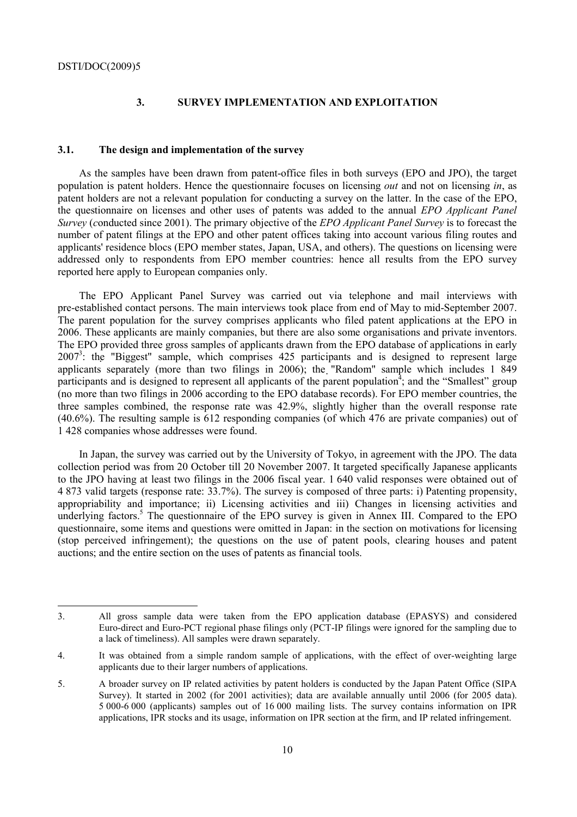$\overline{a}$ 

## **3. SURVEY IMPLEMENTATION AND EXPLOITATION**

#### **3.1. The design and implementation of the survey**

As the samples have been drawn from patent-office files in both surveys (EPO and JPO), the target population is patent holders. Hence the questionnaire focuses on licensing *out* and not on licensing *in*, as patent holders are not a relevant population for conducting a survey on the latter. In the case of the EPO, the questionnaire on licenses and other uses of patents was added to the annual *EPO Applicant Panel Survey* (*c*onducted since 2001). The primary objective of the *EPO Applicant Panel Survey* is to forecast the number of patent filings at the EPO and other patent offices taking into account various filing routes and applicants' residence blocs (EPO member states, Japan, USA, and others). The questions on licensing were addressed only to respondents from EPO member countries: hence all results from the EPO survey reported here apply to European companies only.

The EPO Applicant Panel Survey was carried out via telephone and mail interviews with pre-established contact persons. The main interviews took place from end of May to mid-September 2007. The parent population for the survey comprises applicants who filed patent applications at the EPO in 2006. These applicants are mainly companies, but there are also some organisations and private inventors. The EPO provided three gross samples of applicants drawn from the EPO database of applications in early 2007<sup>3</sup>: the "Biggest" sample, which comprises 425 participants and is designed to represent large applicants separately (more than two filings in 2006); the "Random" sample which includes 1 849 participants and is designed to represent all applicants of the parent population<sup>4</sup>; and the "Smallest" group (no more than two filings in 2006 according to the EPO database records). For EPO member countries, the three samples combined, the response rate was 42.9%, slightly higher than the overall response rate (40.6%). The resulting sample is 612 responding companies (of which 476 are private companies) out of 1 428 companies whose addresses were found.

In Japan, the survey was carried out by the University of Tokyo, in agreement with the JPO. The data collection period was from 20 October till 20 November 2007. It targeted specifically Japanese applicants to the JPO having at least two filings in the 2006 fiscal year. 1 640 valid responses were obtained out of 4 873 valid targets (response rate: 33.7%). The survey is composed of three parts: i) Patenting propensity, appropriability and importance; ii) Licensing activities and iii) Changes in licensing activities and underlying factors.<sup>5</sup> The questionnaire of the EPO survey is given in Annex III. Compared to the EPO questionnaire, some items and questions were omitted in Japan: in the section on motivations for licensing (stop perceived infringement); the questions on the use of patent pools, clearing houses and patent auctions; and the entire section on the uses of patents as financial tools.

<sup>3.</sup> All gross sample data were taken from the EPO application database (EPASYS) and considered Euro-direct and Euro-PCT regional phase filings only (PCT-IP filings were ignored for the sampling due to a lack of timeliness). All samples were drawn separately.

<sup>4.</sup> It was obtained from a simple random sample of applications, with the effect of over-weighting large applicants due to their larger numbers of applications.

<sup>5.</sup> A broader survey on IP related activities by patent holders is conducted by the Japan Patent Office (SIPA Survey). It started in 2002 (for 2001 activities); data are available annually until 2006 (for 2005 data). 5 000-6 000 (applicants) samples out of 16 000 mailing lists. The survey contains information on IPR applications, IPR stocks and its usage, information on IPR section at the firm, and IP related infringement.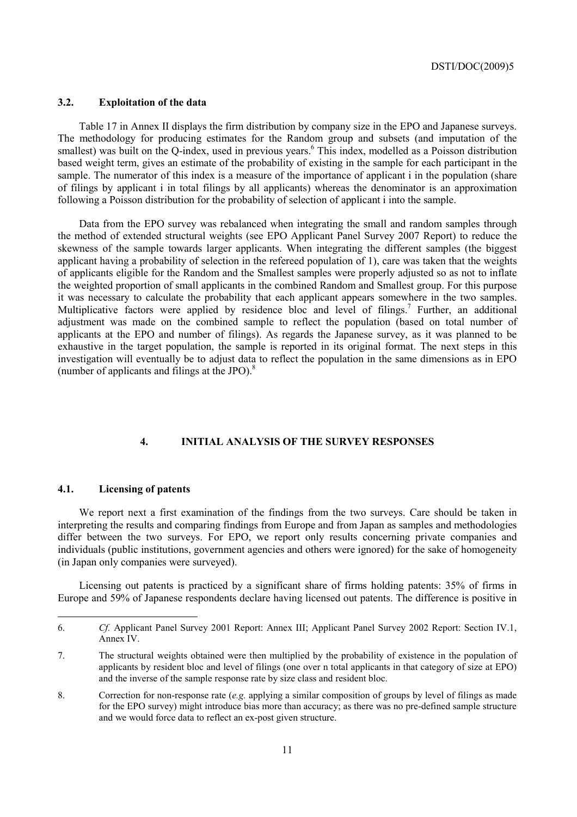## **3.2. Exploitation of the data**

Table 17 in Annex II displays the firm distribution by company size in the EPO and Japanese surveys. The methodology for producing estimates for the Random group and subsets (and imputation of the smallest) was built on the Q-index, used in previous years.<sup>6</sup> This index, modelled as a Poisson distribution based weight term, gives an estimate of the probability of existing in the sample for each participant in the sample. The numerator of this index is a measure of the importance of applicant i in the population (share of filings by applicant i in total filings by all applicants) whereas the denominator is an approximation following a Poisson distribution for the probability of selection of applicant i into the sample.

Data from the EPO survey was rebalanced when integrating the small and random samples through the method of extended structural weights (see EPO Applicant Panel Survey 2007 Report) to reduce the skewness of the sample towards larger applicants. When integrating the different samples (the biggest applicant having a probability of selection in the refereed population of 1), care was taken that the weights of applicants eligible for the Random and the Smallest samples were properly adjusted so as not to inflate the weighted proportion of small applicants in the combined Random and Smallest group. For this purpose it was necessary to calculate the probability that each applicant appears somewhere in the two samples. Multiplicative factors were applied by residence bloc and level of filings.<sup>7</sup> Further, an additional adjustment was made on the combined sample to reflect the population (based on total number of applicants at the EPO and number of filings). As regards the Japanese survey, as it was planned to be exhaustive in the target population, the sample is reported in its original format. The next steps in this investigation will eventually be to adjust data to reflect the population in the same dimensions as in EPO (number of applicants and filings at the JPO).8

## **4. INITIAL ANALYSIS OF THE SURVEY RESPONSES**

## **4.1. Licensing of patents**

We report next a first examination of the findings from the two surveys. Care should be taken in interpreting the results and comparing findings from Europe and from Japan as samples and methodologies differ between the two surveys. For EPO, we report only results concerning private companies and individuals (public institutions, government agencies and others were ignored) for the sake of homogeneity (in Japan only companies were surveyed).

Licensing out patents is practiced by a significant share of firms holding patents: 35% of firms in Europe and 59% of Japanese respondents declare having licensed out patents. The difference is positive in

<sup>6.</sup> *Cf.* Applicant Panel Survey 2001 Report: Annex III; Applicant Panel Survey 2002 Report: Section IV.1, Annex IV.

<sup>7.</sup> The structural weights obtained were then multiplied by the probability of existence in the population of applicants by resident bloc and level of filings (one over n total applicants in that category of size at EPO) and the inverse of the sample response rate by size class and resident bloc.

<sup>8.</sup> Correction for non-response rate (*e.g.* applying a similar composition of groups by level of filings as made for the EPO survey) might introduce bias more than accuracy; as there was no pre-defined sample structure and we would force data to reflect an ex-post given structure.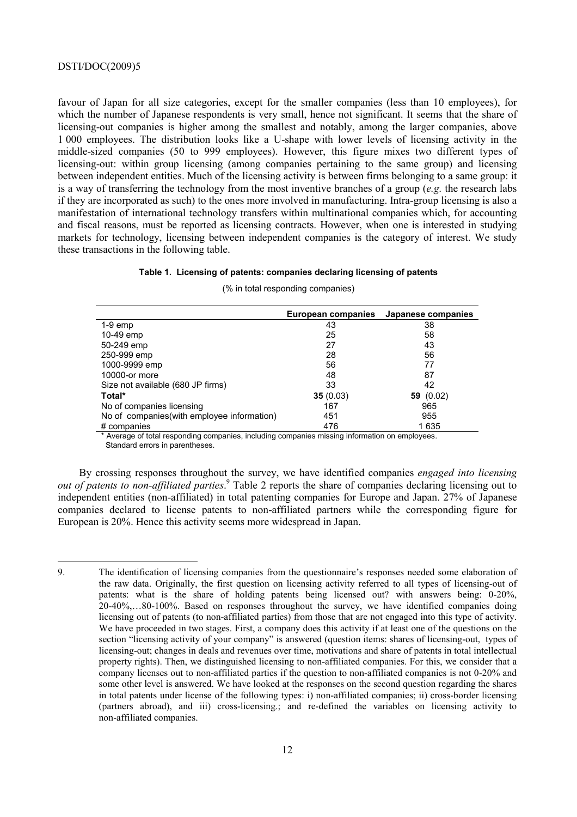favour of Japan for all size categories, except for the smaller companies (less than 10 employees), for which the number of Japanese respondents is very small, hence not significant. It seems that the share of licensing-out companies is higher among the smallest and notably, among the larger companies, above 1 000 employees. The distribution looks like a U-shape with lower levels of licensing activity in the middle-sized companies (50 to 999 employees). However, this figure mixes two different types of licensing-out: within group licensing (among companies pertaining to the same group) and licensing between independent entities. Much of the licensing activity is between firms belonging to a same group: it is a way of transferring the technology from the most inventive branches of a group (*e.g.* the research labs if they are incorporated as such) to the ones more involved in manufacturing. Intra-group licensing is also a manifestation of international technology transfers within multinational companies which, for accounting and fiscal reasons, must be reported as licensing contracts. However, when one is interested in studying markets for technology, licensing between independent companies is the category of interest. We study these transactions in the following table.

#### **Table 1. Licensing of patents: companies declaring licensing of patents**

|                                             | European companies | Japanese companies |
|---------------------------------------------|--------------------|--------------------|
| $1-9$ emp                                   | 43                 | 38                 |
| 10-49 emp                                   | 25                 | 58                 |
| 50-249 emp                                  | 27                 | 43                 |
| 250-999 emp                                 | 28                 | 56                 |
| 1000-9999 emp                               | 56                 | 77                 |
| 10000-or more                               | 48                 | 87                 |
| Size not available (680 JP firms)           | 33                 | 42                 |
| Total*                                      | 35(0.03)           | 59 $(0.02)$        |
| No of companies licensing                   | 167                | 965                |
| No of companies (with employee information) | 451                | 955                |
| # companies                                 | 476                | 1635               |

(% in total responding companies)

\* Average of total responding companies, including companies missing information on employees. Standard errors in parentheses.

By crossing responses throughout the survey, we have identified companies *engaged into licensing out of patents to non-affiliated parties*. 9 Table 2 reports the share of companies declaring licensing out to independent entities (non-affiliated) in total patenting companies for Europe and Japan. 27% of Japanese companies declared to license patents to non-affiliated partners while the corresponding figure for European is 20%. Hence this activity seems more widespread in Japan.

<sup>9.</sup> The identification of licensing companies from the questionnaire's responses needed some elaboration of the raw data. Originally, the first question on licensing activity referred to all types of licensing-out of patents: what is the share of holding patents being licensed out? with answers being: 0-20%, 20-40%,…80-100%. Based on responses throughout the survey, we have identified companies doing licensing out of patents (to non-affiliated parties) from those that are not engaged into this type of activity. We have proceeded in two stages. First, a company does this activity if at least one of the questions on the section "licensing activity of your company" is answered (question items: shares of licensing-out, types of licensing-out; changes in deals and revenues over time, motivations and share of patents in total intellectual property rights). Then, we distinguished licensing to non-affiliated companies. For this, we consider that a company licenses out to non-affiliated parties if the question to non-affiliated companies is not 0-20% and some other level is answered. We have looked at the responses on the second question regarding the shares in total patents under license of the following types: i) non-affiliated companies; ii) cross-border licensing (partners abroad), and iii) cross-licensing.; and re-defined the variables on licensing activity to non-affiliated companies.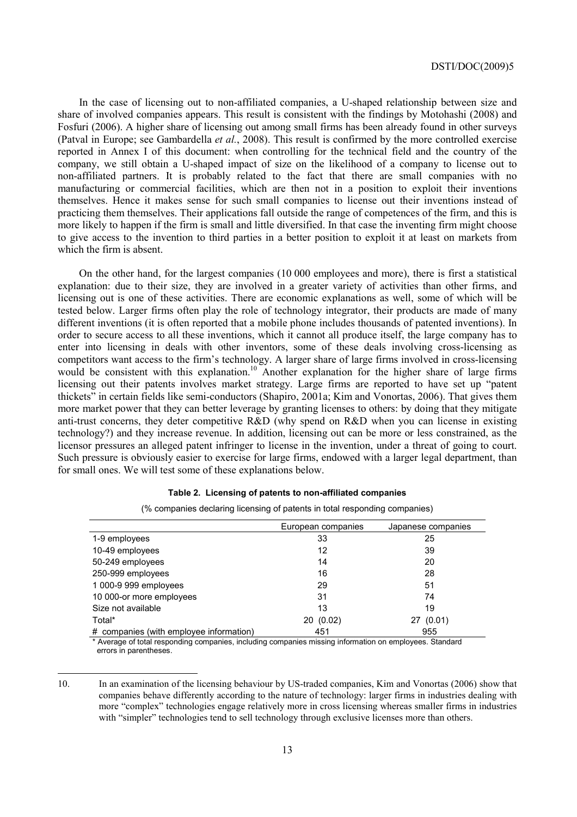In the case of licensing out to non-affiliated companies, a U-shaped relationship between size and share of involved companies appears. This result is consistent with the findings by Motohashi (2008) and Fosfuri (2006). A higher share of licensing out among small firms has been already found in other surveys (Patval in Europe; see Gambardella *et al.*, 2008). This result is confirmed by the more controlled exercise reported in Annex I of this document: when controlling for the technical field and the country of the company, we still obtain a U-shaped impact of size on the likelihood of a company to license out to non-affiliated partners. It is probably related to the fact that there are small companies with no manufacturing or commercial facilities, which are then not in a position to exploit their inventions themselves. Hence it makes sense for such small companies to license out their inventions instead of practicing them themselves. Their applications fall outside the range of competences of the firm, and this is more likely to happen if the firm is small and little diversified. In that case the inventing firm might choose to give access to the invention to third parties in a better position to exploit it at least on markets from which the firm is absent.

On the other hand, for the largest companies (10 000 employees and more), there is first a statistical explanation: due to their size, they are involved in a greater variety of activities than other firms, and licensing out is one of these activities. There are economic explanations as well, some of which will be tested below. Larger firms often play the role of technology integrator, their products are made of many different inventions (it is often reported that a mobile phone includes thousands of patented inventions). In order to secure access to all these inventions, which it cannot all produce itself, the large company has to enter into licensing in deals with other inventors, some of these deals involving cross-licensing as competitors want access to the firm's technology. A larger share of large firms involved in cross-licensing would be consistent with this explanation.<sup>10</sup> Another explanation for the higher share of large firms licensing out their patents involves market strategy. Large firms are reported to have set up "patent thickets" in certain fields like semi-conductors (Shapiro, 2001a; Kim and Vonortas, 2006). That gives them more market power that they can better leverage by granting licenses to others: by doing that they mitigate anti-trust concerns, they deter competitive R&D (why spend on R&D when you can license in existing technology?) and they increase revenue. In addition, licensing out can be more or less constrained, as the licensor pressures an alleged patent infringer to license in the invention, under a threat of going to court. Such pressure is obviously easier to exercise for large firms, endowed with a larger legal department, than for small ones. We will test some of these explanations below.

|                                         | European companies | Japanese companies |
|-----------------------------------------|--------------------|--------------------|
| 1-9 employees                           | 33                 | 25                 |
| 10-49 employees                         | 12                 | 39                 |
| 50-249 employees                        | 14                 | 20                 |
| 250-999 employees                       | 16                 | 28                 |
| 1 000-9 999 employees                   | 29                 | 51                 |
| 10 000-or more employees                | 31                 | 74                 |
| Size not available                      | 13                 | 19                 |
| Total*                                  | 20(0.02)           | 27 (0.01)          |
| # companies (with employee information) | 451                | 955                |

## **Table 2. Licensing of patents to non-affiliated companies**

(% companies declaring licensing of patents in total responding companies)

\* Average of total responding companies, including companies missing information on employees. Standard errors in parentheses.

10. In an examination of the licensing behaviour by US-traded companies, Kim and Vonortas (2006) show that companies behave differently according to the nature of technology: larger firms in industries dealing with more "complex" technologies engage relatively more in cross licensing whereas smaller firms in industries with "simpler" technologies tend to sell technology through exclusive licenses more than others.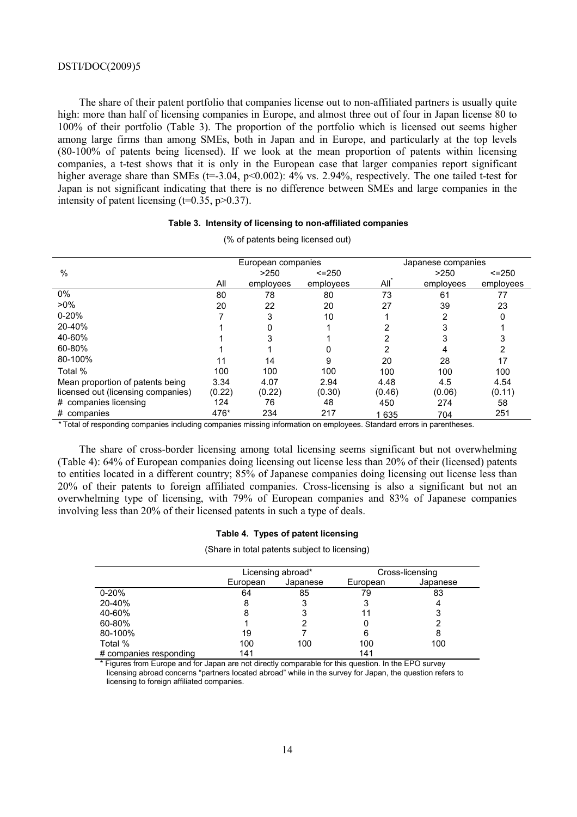The share of their patent portfolio that companies license out to non-affiliated partners is usually quite high: more than half of licensing companies in Europe, and almost three out of four in Japan license 80 to 100% of their portfolio (Table 3). The proportion of the portfolio which is licensed out seems higher among large firms than among SMEs, both in Japan and in Europe, and particularly at the top levels (80-100% of patents being licensed). If we look at the mean proportion of patents within licensing companies, a t-test shows that it is only in the European case that larger companies report significant higher average share than SMEs (t=-3.04, p<0.002):  $4\%$  vs. 2.94%, respectively. The one tailed t-test for Japan is not significant indicating that there is no difference between SMEs and large companies in the intensity of patent licensing  $(t=0.35, p>0.37)$ .

#### **Table 3. Intensity of licensing to non-affiliated companies**

|                                    | European companies |           |             |        |           | Japanese companies |
|------------------------------------|--------------------|-----------|-------------|--------|-----------|--------------------|
| %                                  |                    | >250      | $\le$ = 250 |        | >250      | $< = 250$          |
|                                    | All                | employees | employees   | All    | employees | employees          |
| $0\%$                              | 80                 | 78        | 80          | 73     | 61        | 77                 |
| $>0\%$                             | 20                 | 22        | 20          | 27     | 39        | 23                 |
| $0 - 20%$                          |                    | 3         | 10          |        | 2         | 0                  |
| 20-40%                             |                    |           |             |        |           |                    |
| 40-60%                             |                    |           |             | 2      |           |                    |
| 60-80%                             |                    |           |             | 2      |           | 2                  |
| 80-100%                            | 11                 | 14        | 9           | 20     | 28        | 17                 |
| Total %                            | 100                | 100       | 100         | 100    | 100       | 100                |
| Mean proportion of patents being   | 3.34               | 4.07      | 2.94        | 4.48   | 4.5       | 4.54               |
| licensed out (licensing companies) | (0.22)             | (0.22)    | (0.30)      | (0.46) | (0.06)    | (0.11)             |
| # companies licensing              | 124                | 76        | 48          | 450    | 274       | 58                 |
| # companies                        | 476*               | 234       | 217         | 1635   | 704       | 251                |

(% of patents being licensed out)

*\** Total of responding companies including companies missing information on employees. Standard errors in parentheses.

The share of cross-border licensing among total licensing seems significant but not overwhelming (Table 4): 64% of European companies doing licensing out license less than 20% of their (licensed) patents to entities located in a different country; 85% of Japanese companies doing licensing out license less than 20% of their patents to foreign affiliated companies. Cross-licensing is also a significant but not an overwhelming type of licensing, with 79% of European companies and 83% of Japanese companies involving less than 20% of their licensed patents in such a type of deals.

#### **Table 4. Types of patent licensing**

(Share in total patents subject to licensing)

|                        |          | Licensing abroad* |          | Cross-licensing |
|------------------------|----------|-------------------|----------|-----------------|
|                        | European | Japanese          | European | Japanese        |
| $0 - 20%$              | 64       | 85                | 79       | 83              |
| 20-40%                 | 8        | 3                 | 3        |                 |
| 40-60%                 | 8        | 3                 |          | 3               |
| 60-80%                 |          | 2                 |          |                 |
| 80-100%                | 19       |                   | 6        | 8               |
| Total %                | 100      | 100               | 100      | 100             |
| # companies responding | 141      |                   | 141      |                 |

Figures from Europe and for Japan are not directly comparable for this question. In the EPO survey licensing abroad concerns "partners located abroad" while in the survey for Japan, the question refers to licensing to foreign affiliated companies.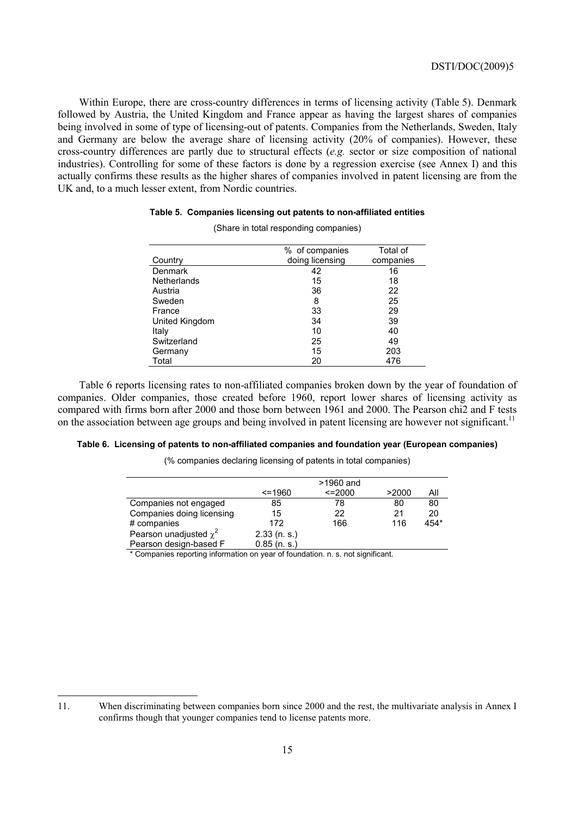Within Europe, there are cross-country differences in terms of licensing activity (Table 5). Denmark followed by Austria, the United Kingdom and France appear as having the largest shares of companies being involved in some of type of licensing-out of patents. Companies from the Netherlands, Sweden, Italy and Germany are below the average share of licensing activity (20% of companies). However, these cross-country differences are partly due to structural effects (*e.g.* sector or size composition of national industries). Controlling for some of these factors is done by a regression exercise (see Annex I) and this actually confirms these results as the higher shares of companies involved in patent licensing are from the UK and, to a much lesser extent, from Nordic countries.

#### **Table 5. Companies licensing out patents to non-affiliated entities**

|                    | % of companies  | Total of  |
|--------------------|-----------------|-----------|
| Country            | doing licensing | companies |
| <b>Denmark</b>     | 42              | 16        |
| <b>Netherlands</b> | 15              | 18        |
| Austria            | 36              | 22        |
| Sweden             | 8               | 25        |
| France             | 33              | 29        |
| United Kingdom     | 34              | 39        |
| Italy              | 10              | 40        |
| Switzerland        | 25              | 49        |
| Germany            | 15              | 203       |
| Total              | 20              | 476       |

(Share in total responding companies)

Table 6 reports licensing rates to non-affiliated companies broken down by the year of foundation of companies. Older companies, those created before 1960, report lower shares of licensing activity as compared with firms born after 2000 and those born between 1961 and 2000. The Pearson chi2 and F tests on the association between age groups and being involved in patent licensing are however not significant.<sup>11</sup>

#### **Table 6. Licensing of patents to non-affiliated companies and foundation year (European companies)**

(% companies declaring licensing of patents in total companies)

|                                                                                                                    |                | $>1960$ and   |       |      |
|--------------------------------------------------------------------------------------------------------------------|----------------|---------------|-------|------|
|                                                                                                                    | $\le$ = 1960   | $\leq$ = 2000 | >2000 | Αll  |
| Companies not engaged                                                                                              | 85             | 78            | 80    | 80   |
| Companies doing licensing                                                                                          | 15             | 22            | 21    | 20   |
| # companies                                                                                                        | 172            | 166           | 116   | 454* |
| Pearson unadjusted $\chi^2$                                                                                        | $2.33$ (n. s.) |               |       |      |
| Pearson design-based F                                                                                             | $0.85$ (n. s.) |               |       |      |
| $\star$ $\bigcap$ . In the second contract of the second contract of $f$ . In the first case of the fit of the $f$ |                |               |       |      |

Companies reporting information on year of foundation. n. s. not significant.

 $\overline{a}$ 

<sup>11.</sup> When discriminating between companies born since 2000 and the rest, the multivariate analysis in Annex I confirms though that younger companies tend to license patents more.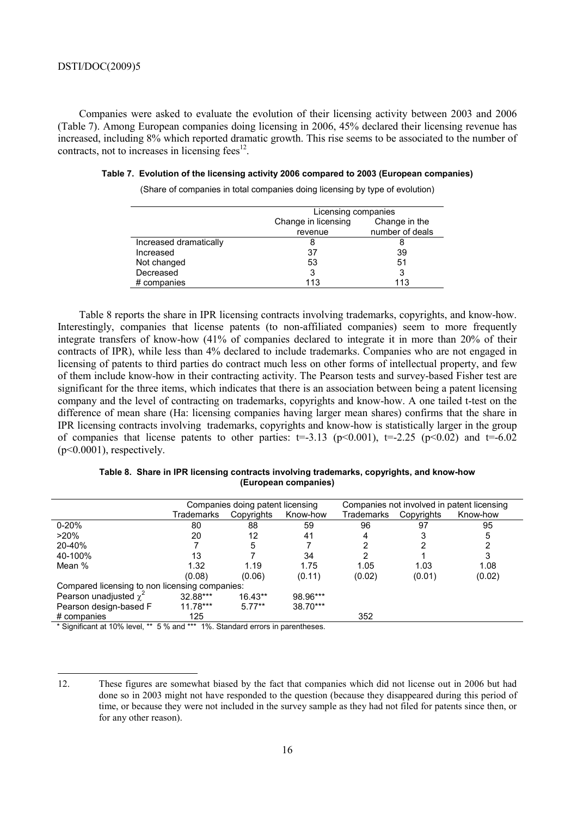Companies were asked to evaluate the evolution of their licensing activity between 2003 and 2006 (Table 7). Among European companies doing licensing in 2006, 45% declared their licensing revenue has increased, including 8% which reported dramatic growth. This rise seems to be associated to the number of contracts, not to increases in licensing fees $^{12}$ .

|  | Table 7. Evolution of the licensing activity 2006 compared to 2003 (European companies) |  |  |  |  |  |  |
|--|-----------------------------------------------------------------------------------------|--|--|--|--|--|--|
|--|-----------------------------------------------------------------------------------------|--|--|--|--|--|--|

(Share of companies in total companies doing licensing by type of evolution)

|                        | Licensing companies                  |                 |  |  |  |
|------------------------|--------------------------------------|-----------------|--|--|--|
|                        | Change in licensing<br>Change in the |                 |  |  |  |
|                        | revenue                              | number of deals |  |  |  |
| Increased dramatically |                                      |                 |  |  |  |
| Increased              | 37                                   | 39              |  |  |  |
| Not changed            | 53                                   | 51              |  |  |  |
| Decreased              |                                      |                 |  |  |  |
| # companies            | 113                                  | 113             |  |  |  |
|                        |                                      |                 |  |  |  |

Table 8 reports the share in IPR licensing contracts involving trademarks, copyrights, and know-how. Interestingly, companies that license patents (to non-affiliated companies) seem to more frequently integrate transfers of know-how (41% of companies declared to integrate it in more than 20% of their contracts of IPR), while less than 4% declared to include trademarks. Companies who are not engaged in licensing of patents to third parties do contract much less on other forms of intellectual property, and few of them include know-how in their contracting activity. The Pearson tests and survey-based Fisher test are significant for the three items, which indicates that there is an association between being a patent licensing company and the level of contracting on trademarks, copyrights and know-how. A one tailed t-test on the difference of mean share (Ha: licensing companies having larger mean shares) confirms that the share in IPR licensing contracts involving trademarks, copyrights and know-how is statistically larger in the group of companies that license patents to other parties:  $t=3.13$  (p<0.001),  $t=.2.25$  (p<0.02) and  $t=.602$  $(p<0.0001)$ , respectively.

| Table 8. Share in IPR licensing contracts involving trademarks, copyrights, and know-how |
|------------------------------------------------------------------------------------------|
| (European companies)                                                                     |

|                                                                                                             | Companies doing patent licensing |            |          | Companies not involved in patent licensing |            |          |
|-------------------------------------------------------------------------------------------------------------|----------------------------------|------------|----------|--------------------------------------------|------------|----------|
|                                                                                                             | Trademarks                       | Copyrights | Know-how | Trademarks                                 | Copyrights | Know-how |
| $0 - 20%$                                                                                                   | 80                               | 88         | 59       | 96                                         | 97         | 95       |
| $>20\%$                                                                                                     | 20                               | 12         | 41       |                                            |            |          |
| 20-40%                                                                                                      |                                  | 5          |          |                                            |            |          |
| 40-100%                                                                                                     | 13                               |            | 34       |                                            |            |          |
| Mean %                                                                                                      | 1.32                             | 1.19       | 1.75     | 1.05                                       | 1.03       | 1.08     |
|                                                                                                             | (0.08)                           | (0.06)     | (0.11)   | (0.02)                                     | (0.01)     | (0.02)   |
| Compared licensing to non licensing companies:                                                              |                                  |            |          |                                            |            |          |
| Pearson unadjusted $\chi^2$                                                                                 | 32.88***                         | $16.43**$  | 98.96*** |                                            |            |          |
| Pearson design-based F                                                                                      | $11.78***$                       | $5.77**$   | 38.70*** |                                            |            |          |
| # companies                                                                                                 | 125                              |            |          | 352                                        |            |          |
| $\star$ Cineificant et 400/ layel $\star\star$ F 0/ and $\star\star\star$ 40/ Ctanderd among in paramitence |                                  |            |          |                                            |            |          |

Significant at 10% level, \*\* 5 % and \*\*\* 1%. Standard errors in parentheses.

<sup>12.</sup> These figures are somewhat biased by the fact that companies which did not license out in 2006 but had done so in 2003 might not have responded to the question (because they disappeared during this period of time, or because they were not included in the survey sample as they had not filed for patents since then, or for any other reason).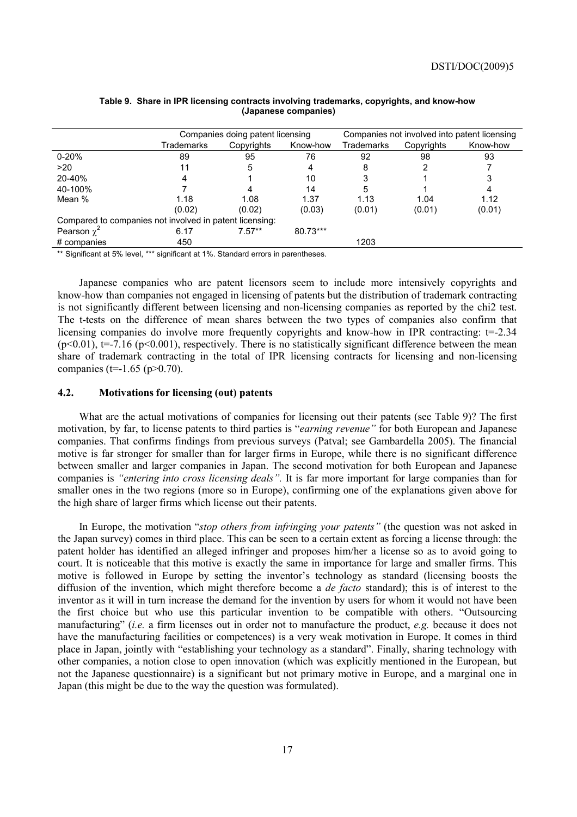|                                                         | Companies doing patent licensing |            |          | Companies not involved into patent licensing |            |          |
|---------------------------------------------------------|----------------------------------|------------|----------|----------------------------------------------|------------|----------|
|                                                         | Trademarks                       | Copyrights | Know-how | Trademarks                                   | Copyrights | Know-how |
| $0 - 20%$                                               | 89                               | 95         | 76       | 92                                           | 98         | 93       |
| >20                                                     | 11                               | 5          | 4        | 8                                            |            |          |
| 20-40%                                                  | 4                                |            | 10       |                                              |            | 3        |
| 40-100%                                                 |                                  |            | 14       | 5                                            |            | 4        |
| Mean %                                                  | 1.18                             | 1.08       | 1.37     | 1.13                                         | 1.04       | 1.12     |
|                                                         | (0.02)                           | (0.02)     | (0.03)   | (0.01)                                       | (0.01)     | (0.01)   |
| Compared to companies not involved in patent licensing: |                                  |            |          |                                              |            |          |
| Pearson $\chi^2$                                        | 6.17                             | $7.57**$   | 80.73*** |                                              |            |          |
| # companies                                             | 450                              |            |          | 1203                                         |            |          |

#### **Table 9. Share in IPR licensing contracts involving trademarks, copyrights, and know-how (Japanese companies)**

\*\* Significant at 5% level, \*\*\* significant at 1%. Standard errors in parentheses.

Japanese companies who are patent licensors seem to include more intensively copyrights and know-how than companies not engaged in licensing of patents but the distribution of trademark contracting is not significantly different between licensing and non-licensing companies as reported by the chi2 test. The t-tests on the difference of mean shares between the two types of companies also confirm that licensing companies do involve more frequently copyrights and know-how in IPR contracting: t=-2.34  $(p<0.01)$ ,  $t=-7.16$  ( $p<0.001$ ), respectively. There is no statistically significant difference between the mean share of trademark contracting in the total of IPR licensing contracts for licensing and non-licensing companies (t=-1.65 (p>0.70).

## **4.2. Motivations for licensing (out) patents**

What are the actual motivations of companies for licensing out their patents (see Table 9)? The first motivation, by far, to license patents to third parties is "*earning revenue"* for both European and Japanese companies. That confirms findings from previous surveys (Patval; see Gambardella 2005). The financial motive is far stronger for smaller than for larger firms in Europe, while there is no significant difference between smaller and larger companies in Japan. The second motivation for both European and Japanese companies is *"entering into cross licensing deals".* It is far more important for large companies than for smaller ones in the two regions (more so in Europe), confirming one of the explanations given above for the high share of larger firms which license out their patents.

In Europe, the motivation "*stop others from infringing your patents"* (the question was not asked in the Japan survey) comes in third place. This can be seen to a certain extent as forcing a license through: the patent holder has identified an alleged infringer and proposes him/her a license so as to avoid going to court. It is noticeable that this motive is exactly the same in importance for large and smaller firms. This motive is followed in Europe by setting the inventor's technology as standard (licensing boosts the diffusion of the invention, which might therefore become a *de facto* standard); this is of interest to the inventor as it will in turn increase the demand for the invention by users for whom it would not have been the first choice but who use this particular invention to be compatible with others. "Outsourcing manufacturing" (*i.e.* a firm licenses out in order not to manufacture the product, *e.g.* because it does not have the manufacturing facilities or competences) is a very weak motivation in Europe. It comes in third place in Japan, jointly with "establishing your technology as a standard". Finally, sharing technology with other companies, a notion close to open innovation (which was explicitly mentioned in the European, but not the Japanese questionnaire) is a significant but not primary motive in Europe, and a marginal one in Japan (this might be due to the way the question was formulated).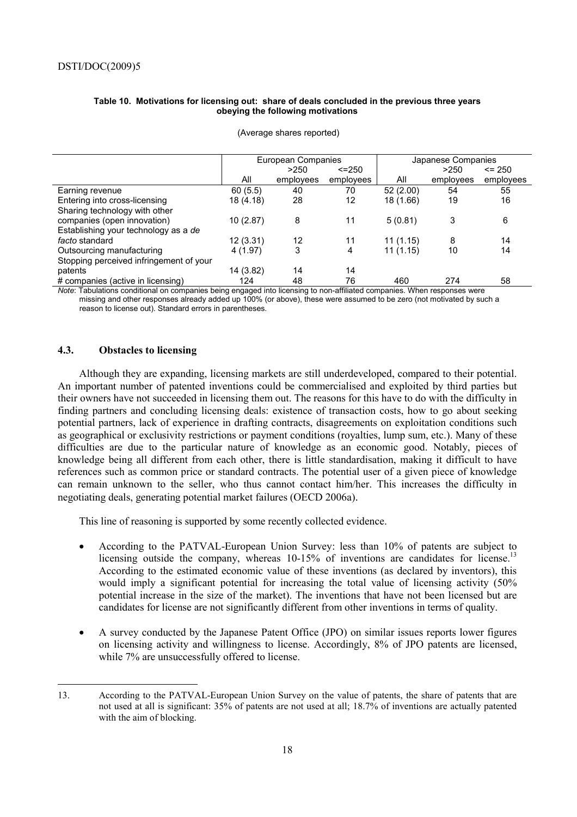#### **Table 10. Motivations for licensing out: share of deals concluded in the previous three years obeying the following motivations**

|                                                                                                                         | European Companies |           |             | Japanese Companies |           |            |
|-------------------------------------------------------------------------------------------------------------------------|--------------------|-----------|-------------|--------------------|-----------|------------|
|                                                                                                                         |                    | >250      | $\le$ = 250 |                    | >250      | $\leq$ 250 |
|                                                                                                                         | All                | employees | employees   | All                | employees | employees  |
| Earning revenue                                                                                                         | 60(5.5)            | 40        | 70          | 52(2.00)           | 54        | 55         |
| Entering into cross-licensing                                                                                           | 18 (4.18)          | 28        | 12          | 18 (1.66)          | 19        | 16         |
| Sharing technology with other                                                                                           |                    |           |             |                    |           |            |
| companies (open innovation)                                                                                             | 10(2.87)           | 8         | 11          | 5(0.81)            | 3         | 6          |
| Establishing your technology as a de                                                                                    |                    |           |             |                    |           |            |
| <i>facto</i> standard                                                                                                   | 12(3.31)           | 12        | 11          | 11(1.15)           | 8         | 14         |
| Outsourcing manufacturing                                                                                               | 4 (1.97)           | 3         | 4           | 11(1.15)           | 10        | 14         |
| Stopping perceived infringement of your                                                                                 |                    |           |             |                    |           |            |
| patents                                                                                                                 | 14 (3.82)          | 14        | 14          |                    |           |            |
| # companies (active in licensing)                                                                                       | 124                | 48        | 76          | 460                | 274       | 58         |
| Note: Tabulations conditional on companies being engaged into licensing to non-affiliated companies When responses were |                    |           |             |                    |           |            |

(Average shares reported)

*notitional on companies being engaged into licensing to non-affiliated companies. When response*  missing and other responses already added up 100% (or above), these were assumed to be zero (not motivated by such a reason to license out). Standard errors in parentheses.

## **4.3. Obstacles to licensing**

 $\overline{a}$ 

Although they are expanding, licensing markets are still underdeveloped, compared to their potential. An important number of patented inventions could be commercialised and exploited by third parties but their owners have not succeeded in licensing them out. The reasons for this have to do with the difficulty in finding partners and concluding licensing deals: existence of transaction costs, how to go about seeking potential partners, lack of experience in drafting contracts, disagreements on exploitation conditions such as geographical or exclusivity restrictions or payment conditions (royalties, lump sum, etc.). Many of these difficulties are due to the particular nature of knowledge as an economic good. Notably, pieces of knowledge being all different from each other, there is little standardisation, making it difficult to have references such as common price or standard contracts. The potential user of a given piece of knowledge can remain unknown to the seller, who thus cannot contact him/her. This increases the difficulty in negotiating deals, generating potential market failures (OECD 2006a).

This line of reasoning is supported by some recently collected evidence.

- According to the PATVAL-European Union Survey: less than 10% of patents are subject to licensing outside the company, whereas  $10-15%$  of inventions are candidates for license.<sup>13</sup> According to the estimated economic value of these inventions (as declared by inventors), this would imply a significant potential for increasing the total value of licensing activity (50% potential increase in the size of the market). The inventions that have not been licensed but are candidates for license are not significantly different from other inventions in terms of quality.
- A survey conducted by the Japanese Patent Office (JPO) on similar issues reports lower figures on licensing activity and willingness to license. Accordingly, 8% of JPO patents are licensed, while 7% are unsuccessfully offered to license.

<sup>13.</sup> According to the PATVAL-European Union Survey on the value of patents, the share of patents that are not used at all is significant: 35% of patents are not used at all; 18.7% of inventions are actually patented with the aim of blocking.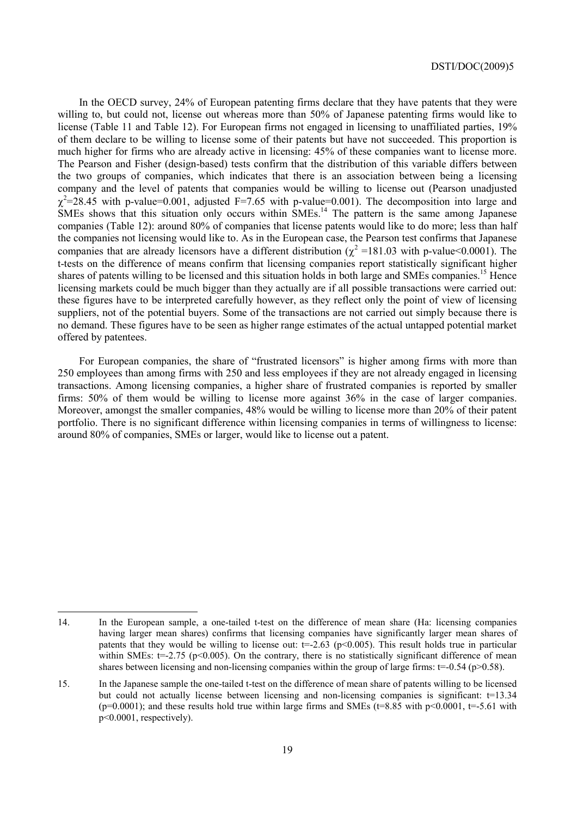In the OECD survey, 24% of European patenting firms declare that they have patents that they were willing to, but could not, license out whereas more than 50% of Japanese patenting firms would like to license (Table 11 and Table 12). For European firms not engaged in licensing to unaffiliated parties, 19% of them declare to be willing to license some of their patents but have not succeeded. This proportion is much higher for firms who are already active in licensing: 45% of these companies want to license more. The Pearson and Fisher (design-based) tests confirm that the distribution of this variable differs between the two groups of companies, which indicates that there is an association between being a licensing company and the level of patents that companies would be willing to license out (Pearson unadjusted  $\chi^2$ =28.45 with p-value=0.001, adjusted F=7.65 with p-value=0.001). The decomposition into large and  $SMEs$  shows that this situation only occurs within  $SMEs$ <sup>14</sup>. The pattern is the same among Japanese companies (Table 12): around 80% of companies that license patents would like to do more; less than half the companies not licensing would like to. As in the European case, the Pearson test confirms that Japanese companies that are already licensors have a different distribution ( $\chi^2$  =181.03 with p-value<0.0001). The t-tests on the difference of means confirm that licensing companies report statistically significant higher shares of patents willing to be licensed and this situation holds in both large and SMEs companies.<sup>15</sup> Hence licensing markets could be much bigger than they actually are if all possible transactions were carried out: these figures have to be interpreted carefully however, as they reflect only the point of view of licensing suppliers, not of the potential buyers. Some of the transactions are not carried out simply because there is no demand. These figures have to be seen as higher range estimates of the actual untapped potential market offered by patentees.

For European companies, the share of "frustrated licensors" is higher among firms with more than 250 employees than among firms with 250 and less employees if they are not already engaged in licensing transactions. Among licensing companies, a higher share of frustrated companies is reported by smaller firms: 50% of them would be willing to license more against 36% in the case of larger companies. Moreover, amongst the smaller companies, 48% would be willing to license more than 20% of their patent portfolio. There is no significant difference within licensing companies in terms of willingness to license: around 80% of companies, SMEs or larger, would like to license out a patent.

 $\overline{a}$ 

<sup>14.</sup> In the European sample, a one-tailed t-test on the difference of mean share (Ha: licensing companies having larger mean shares) confirms that licensing companies have significantly larger mean shares of patents that they would be willing to license out:  $t=2.63$  (p $\leq 0.005$ ). This result holds true in particular within SMEs:  $t=-2.75$  (p<0.005). On the contrary, there is no statistically significant difference of mean shares between licensing and non-licensing companies within the group of large firms:  $t=-0.54$  (p $>0.58$ ).

<sup>15.</sup> In the Japanese sample the one-tailed t-test on the difference of mean share of patents willing to be licensed but could not actually license between licensing and non-licensing companies is significant: t=13.34 (p=0.0001); and these results hold true within large firms and SMEs (t=8.85 with p<0.0001, t=-5.61 with p<0.0001, respectively).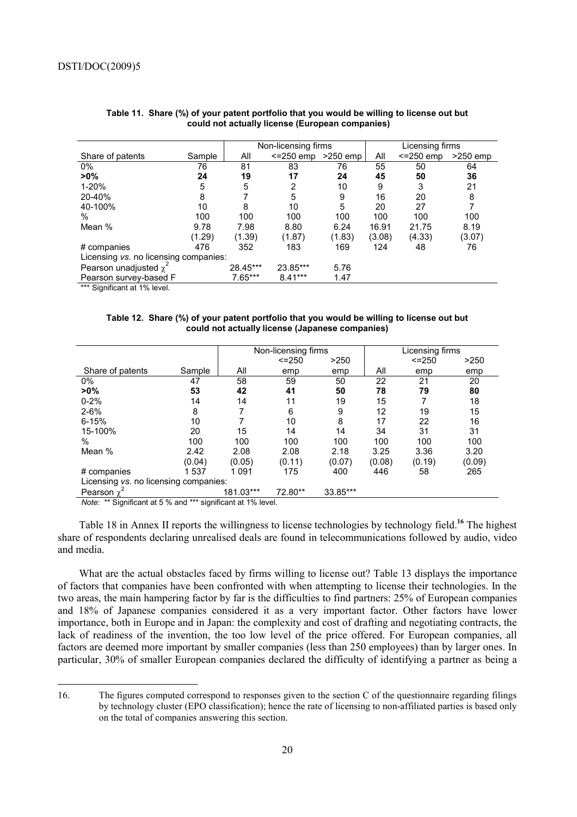|                                       |        | Non-licensing firms |                         |        |        | Licensing firms |            |
|---------------------------------------|--------|---------------------|-------------------------|--------|--------|-----------------|------------|
| Share of patents                      | Sample | All                 | $\le$ =250 emp >250 emp |        | All    | $<=250$ emp     | $>250$ emp |
| $0\%$                                 | 76     | 81                  | 83                      | 76     | 55     | 50              | 64         |
| $>0\%$                                | 24     | 19                  | 17                      | 24     | 45     | 50              | 36         |
| 1-20%                                 | 5      | 5                   | 2                       | 10     | 9      | 3               | 21         |
| 20-40%                                | 8      |                     | 5                       | 9      | 16     | 20              | 8          |
| 40-100%                               | 10     | 8                   | 10                      | 5      | 20     | 27              | 7          |
| $\%$                                  | 100    | 100                 | 100                     | 100    | 100    | 100             | 100        |
| Mean %                                | 9.78   | 7.98                | 8.80                    | 6.24   | 16.91  | 21.75           | 8.19       |
|                                       | (1.29) | (1.39)              | (1.87)                  | (1.83) | (3.08) | (4.33)          | (3.07)     |
| # companies                           | 476    | 352                 | 183                     | 169    | 124    | 48              | 76         |
| Licensing vs. no licensing companies: |        |                     |                         |        |        |                 |            |
| Pearson unadjusted $\chi^2$           |        | 28.45***            | 23.85***                | 5.76   |        |                 |            |
| Pearson survey-based F                |        | 7.65***             | $8.41***$               | 1.47   |        |                 |            |
| $***$ Cianificant at $10/$ loual      |        |                     |                         |        |        |                 |            |

#### **Table 11. Share (%) of your patent portfolio that you would be willing to license out but could not actually license (European companies)**

Significant at 1% level.

 $\overline{a}$ 

**Table 12. Share (%) of your patent portfolio that you would be willing to license out but could not actually license (Japanese companies)** 

|                                       |        |           | Non-licensing firms |          |        | Licensing firms |        |
|---------------------------------------|--------|-----------|---------------------|----------|--------|-----------------|--------|
|                                       |        |           | $< = 250$           | >250     |        | $< = 250$       | >250   |
| Share of patents                      | Sample | All       | emp                 | emp      | All    | emp             | emp    |
| 0%                                    | 47     | 58        | 59                  | 50       | 22     | 21              | 20     |
| $>0\%$                                | 53     | 42        | 41                  | 50       | 78     | 79              | 80     |
| $0 - 2%$                              | 14     | 14        | 11                  | 19       | 15     |                 | 18     |
| $2 - 6%$                              | 8      | 7         | 6                   | 9        | 12     | 19              | 15     |
| $6 - 15%$                             | 10     |           | 10                  | 8        | 17     | 22              | 16     |
| 15-100%                               | 20     | 15        | 14                  | 14       | 34     | 31              | 31     |
| $\%$                                  | 100    | 100       | 100                 | 100      | 100    | 100             | 100    |
| Mean %                                | 2.42   | 2.08      | 2.08                | 2.18     | 3.25   | 3.36            | 3.20   |
|                                       | (0.04) | (0.05)    | (0.11)              | (0.07)   | (0.08) | (0.19)          | (0.09) |
| # companies                           | 1537   | 1 0 9 1   | 175                 | 400      | 446    | 58              | 265    |
| Licensing vs. no licensing companies: |        |           |                     |          |        |                 |        |
| Pearson $\chi^2$                      |        | 181.03*** | 72.80**             | 33.85*** |        |                 |        |

*Note*: \*\* Significant at 5 % and \*\*\* significant at 1% level.

Table 18 in Annex II reports the willingness to license technologies by technology field.**<sup>16</sup>** The highest share of respondents declaring unrealised deals are found in telecommunications followed by audio, video and media.

What are the actual obstacles faced by firms willing to license out? Table 13 displays the importance of factors that companies have been confronted with when attempting to license their technologies. In the two areas, the main hampering factor by far is the difficulties to find partners: 25% of European companies and 18% of Japanese companies considered it as a very important factor. Other factors have lower importance, both in Europe and in Japan: the complexity and cost of drafting and negotiating contracts, the lack of readiness of the invention, the too low level of the price offered. For European companies, all factors are deemed more important by smaller companies (less than 250 employees) than by larger ones. In particular, 30% of smaller European companies declared the difficulty of identifying a partner as being a

<sup>16.</sup> The figures computed correspond to responses given to the section C of the questionnaire regarding filings by technology cluster (EPO classification); hence the rate of licensing to non-affiliated parties is based only on the total of companies answering this section.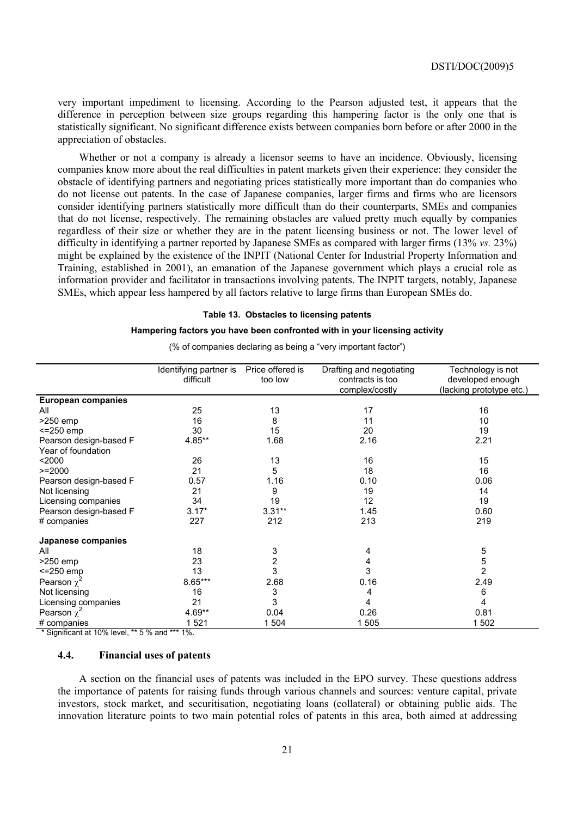very important impediment to licensing. According to the Pearson adjusted test, it appears that the difference in perception between size groups regarding this hampering factor is the only one that is statistically significant. No significant difference exists between companies born before or after 2000 in the appreciation of obstacles.

Whether or not a company is already a licensor seems to have an incidence. Obviously, licensing companies know more about the real difficulties in patent markets given their experience: they consider the obstacle of identifying partners and negotiating prices statistically more important than do companies who do not license out patents. In the case of Japanese companies, larger firms and firms who are licensors consider identifying partners statistically more difficult than do their counterparts, SMEs and companies that do not license, respectively. The remaining obstacles are valued pretty much equally by companies regardless of their size or whether they are in the patent licensing business or not. The lower level of difficulty in identifying a partner reported by Japanese SMEs as compared with larger firms (13% *vs.* 23%) might be explained by the existence of the INPIT (National Center for Industrial Property Information and Training, established in 2001), an emanation of the Japanese government which plays a crucial role as information provider and facilitator in transactions involving patents. The INPIT targets, notably, Japanese SMEs, which appear less hampered by all factors relative to large firms than European SMEs do.

#### **Table 13. Obstacles to licensing patents**

#### **Hampering factors you have been confronted with in your licensing activity**

|                           | Identifying partner is | Price offered is | Drafting and negotiating | Technology is not        |
|---------------------------|------------------------|------------------|--------------------------|--------------------------|
|                           | difficult              | too low          | contracts is too         | developed enough         |
|                           |                        |                  | complex/costly           | (lacking prototype etc.) |
| <b>European companies</b> |                        |                  |                          |                          |
| All                       | 25                     | 13               | 17                       | 16                       |
| $>250$ emp                | 16                     | 8                | 11                       | 10                       |
| $<=250$ emp               | 30                     | 15               | 20                       | 19                       |
| Pearson design-based F    | 4.85**                 | 1.68             | 2.16                     | 2.21                     |
| Year of foundation        |                        |                  |                          |                          |
| $2000$                    | 26                     | 13               | 16                       | 15                       |
| $>=2000$                  | 21                     | 5                | 18                       | 16                       |
| Pearson design-based F    | 0.57                   | 1.16             | 0.10                     | 0.06                     |
| Not licensing             | 21                     | 9                | 19                       | 14                       |
| Licensing companies       | 34                     | 19               | 12                       | 19                       |
| Pearson design-based F    | $3.17*$                | $3.31**$         | 1.45                     | 0.60                     |
| # companies               | 227                    | 212              | 213                      | 219                      |
| Japanese companies        |                        |                  |                          |                          |
| All                       | 18                     | 3                | 4                        | 5                        |
| $>250$ emp                | 23                     | 2                | 4                        | $\frac{5}{2}$            |
| $<=250$ emp               | 13                     | 3                | 3                        |                          |
| Pearson $\chi^2$          | $8.65***$              | 2.68             | 0.16                     | 2.49                     |
| Not licensing             | 16                     | 3                | 4                        | 6                        |
| Licensing companies       | 21                     | 3                | 4                        | 4                        |
| Pearson $\chi^2$          | $4.69**$               | 0.04             | 0.26                     | 0.81                     |
| # companies               | 1 5 2 1                | 1 504            | 1 505                    | 1 502                    |

(% of companies declaring as being a "very important factor")

\* Significant at 10% level, \*\* 5 % and \*\*\* 1%.

#### **4.4. Financial uses of patents**

A section on the financial uses of patents was included in the EPO survey. These questions address the importance of patents for raising funds through various channels and sources: venture capital, private investors, stock market, and securitisation, negotiating loans (collateral) or obtaining public aids. The innovation literature points to two main potential roles of patents in this area, both aimed at addressing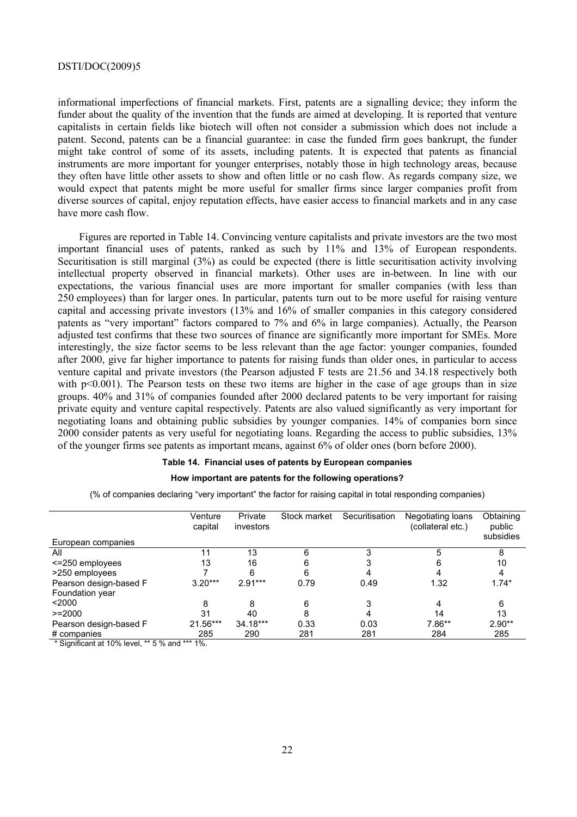informational imperfections of financial markets. First, patents are a signalling device; they inform the funder about the quality of the invention that the funds are aimed at developing. It is reported that venture capitalists in certain fields like biotech will often not consider a submission which does not include a patent. Second, patents can be a financial guarantee: in case the funded firm goes bankrupt, the funder might take control of some of its assets, including patents. It is expected that patents as financial instruments are more important for younger enterprises, notably those in high technology areas, because they often have little other assets to show and often little or no cash flow. As regards company size, we would expect that patents might be more useful for smaller firms since larger companies profit from diverse sources of capital, enjoy reputation effects, have easier access to financial markets and in any case have more cash flow.

Figures are reported in Table 14. Convincing venture capitalists and private investors are the two most important financial uses of patents, ranked as such by 11% and 13% of European respondents. Securitisation is still marginal (3%) as could be expected (there is little securitisation activity involving intellectual property observed in financial markets). Other uses are in-between. In line with our expectations, the various financial uses are more important for smaller companies (with less than 250 employees) than for larger ones. In particular, patents turn out to be more useful for raising venture capital and accessing private investors (13% and 16% of smaller companies in this category considered patents as "very important" factors compared to 7% and 6% in large companies). Actually, the Pearson adjusted test confirms that these two sources of finance are significantly more important for SMEs. More interestingly, the size factor seems to be less relevant than the age factor: younger companies, founded after 2000, give far higher importance to patents for raising funds than older ones, in particular to access venture capital and private investors (the Pearson adjusted F tests are 21.56 and 34.18 respectively both with p<0.001). The Pearson tests on these two items are higher in the case of age groups than in size groups. 40% and 31% of companies founded after 2000 declared patents to be very important for raising private equity and venture capital respectively. Patents are also valued significantly as very important for negotiating loans and obtaining public subsidies by younger companies. 14% of companies born since 2000 consider patents as very useful for negotiating loans. Regarding the access to public subsidies, 13% of the younger firms see patents as important means, against 6% of older ones (born before 2000).

#### **Table 14. Financial uses of patents by European companies**

#### **How important are patents for the following operations?**

(% of companies declaring "very important" the factor for raising capital in total responding companies)

|                        | Venture<br>capital | Private<br>investors | Stock market | Securitisation | Negotiating loans<br>(collateral etc.) | Obtaining<br>public<br>subsidies |
|------------------------|--------------------|----------------------|--------------|----------------|----------------------------------------|----------------------------------|
| European companies     |                    |                      |              |                |                                        |                                  |
| All                    | 11                 | 13                   | 6            |                |                                        | 8                                |
| <= 250 employees       | 13                 | 16                   | 6            |                |                                        | 10                               |
| >250 employees         |                    | 6                    | 6            |                |                                        |                                  |
| Pearson design-based F | $3.20***$          | $2.91***$            | 0.79         | 0.49           | 1.32                                   | $1.74*$                          |
| Foundation year        |                    |                      |              |                |                                        |                                  |
| $2000$                 | 8                  | 8                    | 6            | 3              |                                        | 6                                |
| $>=2000$               | 31                 | 40                   | 8            | 4              | 14                                     | 13                               |
| Pearson design-based F | 21.56***           | 34.18***             | 0.33         | 0.03           | $7.86**$                               | $2.90**$                         |
| # companies            | 285                | 290                  | 281          | 281            | 284                                    | 285                              |

 $*$  Significant at 10% level,  $**$  5 % and  $***$  1%.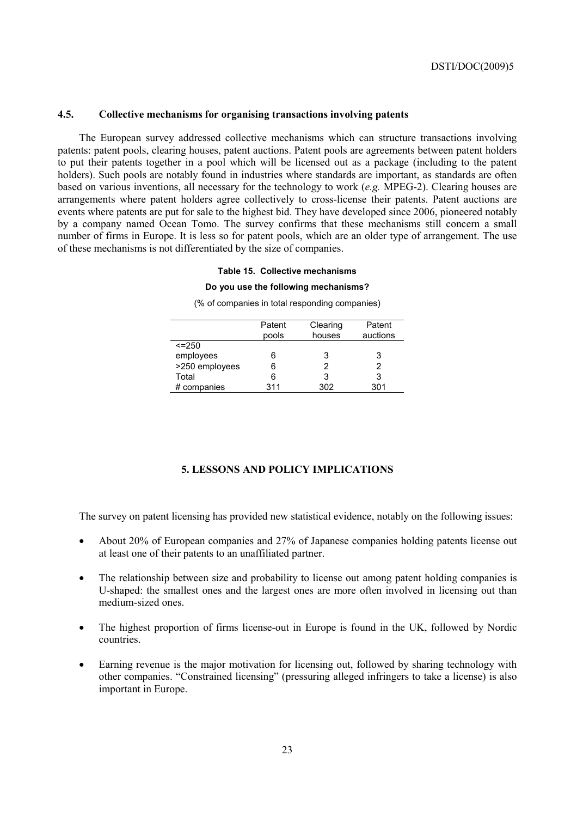## **4.5. Collective mechanisms for organising transactions involving patents**

The European survey addressed collective mechanisms which can structure transactions involving patents: patent pools, clearing houses, patent auctions. Patent pools are agreements between patent holders to put their patents together in a pool which will be licensed out as a package (including to the patent holders). Such pools are notably found in industries where standards are important, as standards are often based on various inventions, all necessary for the technology to work (*e.g.* MPEG-2). Clearing houses are arrangements where patent holders agree collectively to cross-license their patents. Patent auctions are events where patents are put for sale to the highest bid. They have developed since 2006, pioneered notably by a company named Ocean Tomo. The survey confirms that these mechanisms still concern a small number of firms in Europe. It is less so for patent pools, which are an older type of arrangement. The use of these mechanisms is not differentiated by the size of companies.

### **Table 15. Collective mechanisms**

#### **Do you use the following mechanisms?**

(% of companies in total responding companies)

|                | Patent<br>pools | Clearing<br>houses | Patent<br>auctions |
|----------------|-----------------|--------------------|--------------------|
| $\le$ = 250    |                 |                    |                    |
| employees      | 6               | 3                  | 3                  |
| >250 employees | 6               |                    | 2                  |
| Total          | 6               |                    | 3                  |
| # companies    | 311             | 302                | 301                |

#### **5. LESSONS AND POLICY IMPLICATIONS**

The survey on patent licensing has provided new statistical evidence, notably on the following issues:

- About 20% of European companies and 27% of Japanese companies holding patents license out at least one of their patents to an unaffiliated partner.
- The relationship between size and probability to license out among patent holding companies is U-shaped: the smallest ones and the largest ones are more often involved in licensing out than medium-sized ones.
- The highest proportion of firms license-out in Europe is found in the UK, followed by Nordic countries.
- Earning revenue is the major motivation for licensing out, followed by sharing technology with other companies. "Constrained licensing" (pressuring alleged infringers to take a license) is also important in Europe.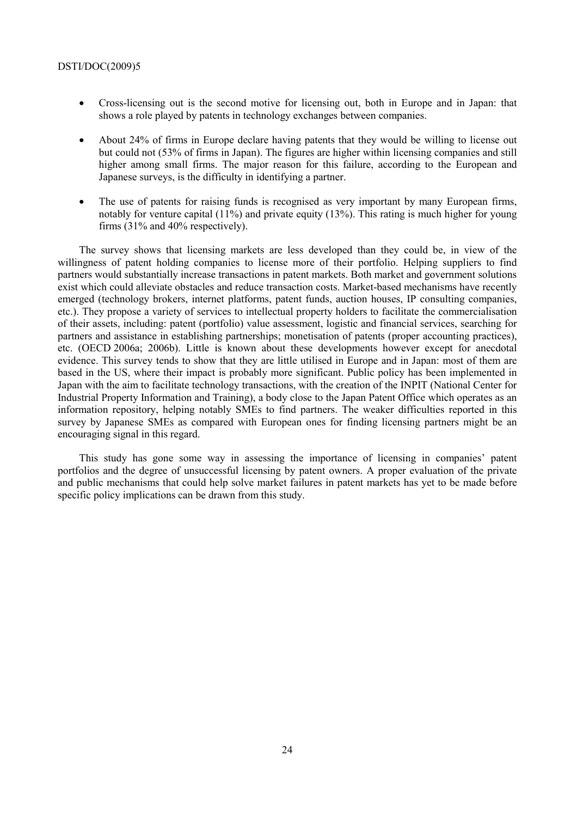- Cross-licensing out is the second motive for licensing out, both in Europe and in Japan: that shows a role played by patents in technology exchanges between companies.
- About 24% of firms in Europe declare having patents that they would be willing to license out but could not (53% of firms in Japan). The figures are higher within licensing companies and still higher among small firms. The major reason for this failure, according to the European and Japanese surveys, is the difficulty in identifying a partner.
- The use of patents for raising funds is recognised as very important by many European firms, notably for venture capital (11%) and private equity (13%). This rating is much higher for young firms (31% and 40% respectively).

The survey shows that licensing markets are less developed than they could be, in view of the willingness of patent holding companies to license more of their portfolio. Helping suppliers to find partners would substantially increase transactions in patent markets. Both market and government solutions exist which could alleviate obstacles and reduce transaction costs. Market-based mechanisms have recently emerged (technology brokers, internet platforms, patent funds, auction houses, IP consulting companies, etc.). They propose a variety of services to intellectual property holders to facilitate the commercialisation of their assets, including: patent (portfolio) value assessment, logistic and financial services, searching for partners and assistance in establishing partnerships; monetisation of patents (proper accounting practices), etc. (OECD 2006a; 2006b). Little is known about these developments however except for anecdotal evidence. This survey tends to show that they are little utilised in Europe and in Japan: most of them are based in the US, where their impact is probably more significant. Public policy has been implemented in Japan with the aim to facilitate technology transactions, with the creation of the INPIT (National Center for Industrial Property Information and Training), a body close to the Japan Patent Office which operates as an information repository, helping notably SMEs to find partners. The weaker difficulties reported in this survey by Japanese SMEs as compared with European ones for finding licensing partners might be an encouraging signal in this regard.

This study has gone some way in assessing the importance of licensing in companies' patent portfolios and the degree of unsuccessful licensing by patent owners. A proper evaluation of the private and public mechanisms that could help solve market failures in patent markets has yet to be made before specific policy implications can be drawn from this study.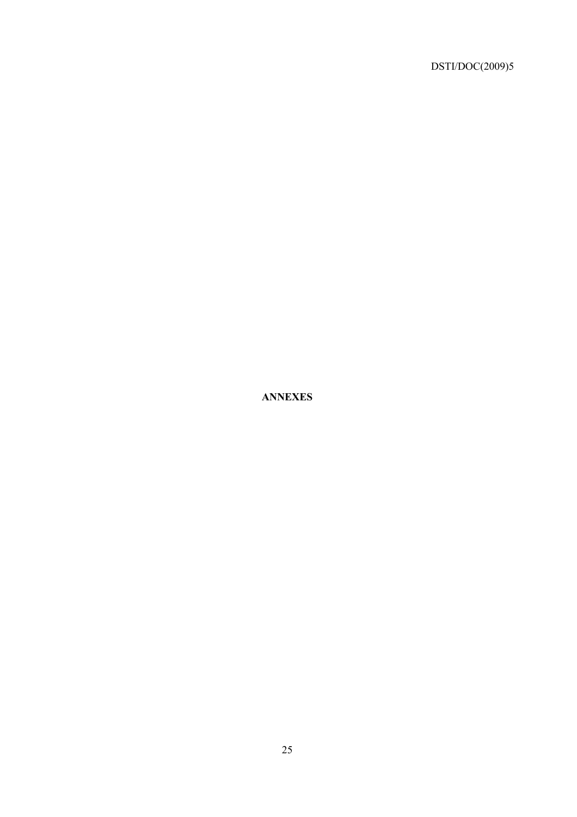**ANNEXES**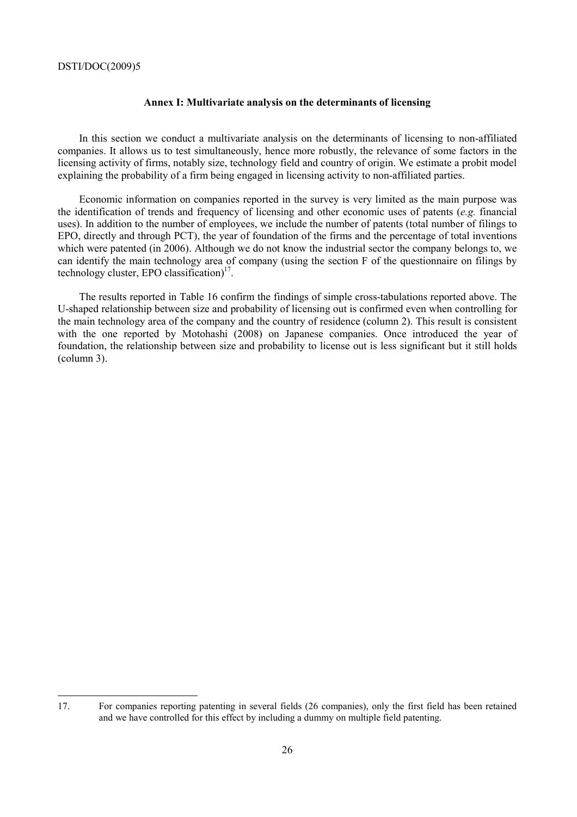$\overline{a}$ 

#### **Annex I: Multivariate analysis on the determinants of licensing**

In this section we conduct a multivariate analysis on the determinants of licensing to non-affiliated companies. It allows us to test simultaneously, hence more robustly, the relevance of some factors in the licensing activity of firms, notably size, technology field and country of origin. We estimate a probit model explaining the probability of a firm being engaged in licensing activity to non-affiliated parties.

Economic information on companies reported in the survey is very limited as the main purpose was the identification of trends and frequency of licensing and other economic uses of patents (*e.g.* financial uses). In addition to the number of employees, we include the number of patents (total number of filings to EPO, directly and through PCT), the year of foundation of the firms and the percentage of total inventions which were patented (in 2006). Although we do not know the industrial sector the company belongs to, we can identify the main technology area of company (using the section F of the questionnaire on filings by technology cluster. EPO classification $17$ .

The results reported in Table 16 confirm the findings of simple cross-tabulations reported above. The U-shaped relationship between size and probability of licensing out is confirmed even when controlling for the main technology area of the company and the country of residence (column 2). This result is consistent with the one reported by Motohashi (2008) on Japanese companies. Once introduced the year of foundation, the relationship between size and probability to license out is less significant but it still holds (column 3).

<sup>17.</sup> For companies reporting patenting in several fields (26 companies), only the first field has been retained and we have controlled for this effect by including a dummy on multiple field patenting.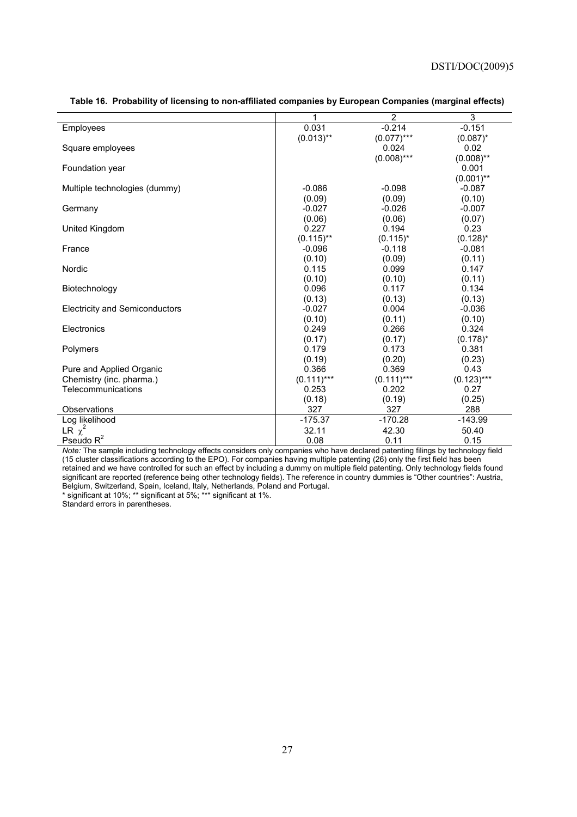|                                       | 1            | $\overline{2}$ | 3            |
|---------------------------------------|--------------|----------------|--------------|
| Employees                             | 0.031        | $-0.214$       | $-0.151$     |
|                                       | $(0.013)$ ** | $(0.077)$ ***  | $(0.087)^*$  |
| Square employees                      |              | 0.024          | 0.02         |
|                                       |              | $(0.008)$ ***  | $(0.008)$ ** |
| Foundation year                       |              |                | 0.001        |
|                                       |              |                | $(0.001)$ ** |
| Multiple technologies (dummy)         | $-0.086$     | $-0.098$       | $-0.087$     |
|                                       | (0.09)       | (0.09)         | (0.10)       |
| Germany                               | $-0.027$     | $-0.026$       | $-0.007$     |
|                                       | (0.06)       | (0.06)         | (0.07)       |
| United Kingdom                        | 0.227        | 0.194          | 0.23         |
|                                       | $(0.115)$ ** | $(0.115)^*$    | $(0.128)^*$  |
| France                                | $-0.096$     | $-0.118$       | $-0.081$     |
|                                       | (0.10)       | (0.09)         | (0.11)       |
| Nordic                                | 0.115        | 0.099          | 0.147        |
|                                       | (0.10)       | (0.10)         | (0.11)       |
| Biotechnology                         | 0.096        | 0.117          | 0.134        |
|                                       | (0.13)       | (0.13)         | (0.13)       |
| <b>Electricity and Semiconductors</b> | $-0.027$     | 0.004          | $-0.036$     |
|                                       | (0.10)       | (0.11)         | (0.10)       |
| Electronics                           | 0.249        | 0.266          | 0.324        |
|                                       | (0.17)       | (0.17)         | $(0.178)^*$  |
| Polymers                              | 0.179        | 0.173          | 0.381        |
|                                       | (0.19)       | (0.20)         | (0.23)       |
| Pure and Applied Organic              | 0.366        | 0.369          | 0.43         |
| Chemistry (inc. pharma.)              | $(0.111)***$ | $(0.111)***$   | $(0.123)***$ |
| Telecommunications                    | 0.253        | 0.202          | 0.27         |
|                                       | (0.18)       | (0.19)         | (0.25)       |
| Observations                          | 327          | 327            | 288          |
| Log likelihood                        | $-175.37$    | $-170.28$      | $-143.99$    |
| LR $\chi^2$                           | 32.11        | 42.30          | 50.40        |
| Pseudo $R^2$                          | 0.08         | 0.11           | 0.15         |

#### **Table 16. Probability of licensing to non-affiliated companies by European Companies (marginal effects)**

*Note:* The sample including technology effects considers only companies who have declared patenting filings by technology field (15 cluster classifications according to the EPO). For companies having multiple patenting (26) only the first field has been retained and we have controlled for such an effect by including a dummy on multiple field patenting. Only technology fields found significant are reported (reference being other technology fields). The reference in country dummies is "Other countries": Austria, Belgium, Switzerland, Spain, Iceland, Italy, Netherlands, Poland and Portugal.

\* significant at 10%; \*\* significant at 5%; \*\*\* significant at 1%.

Standard errors in parentheses.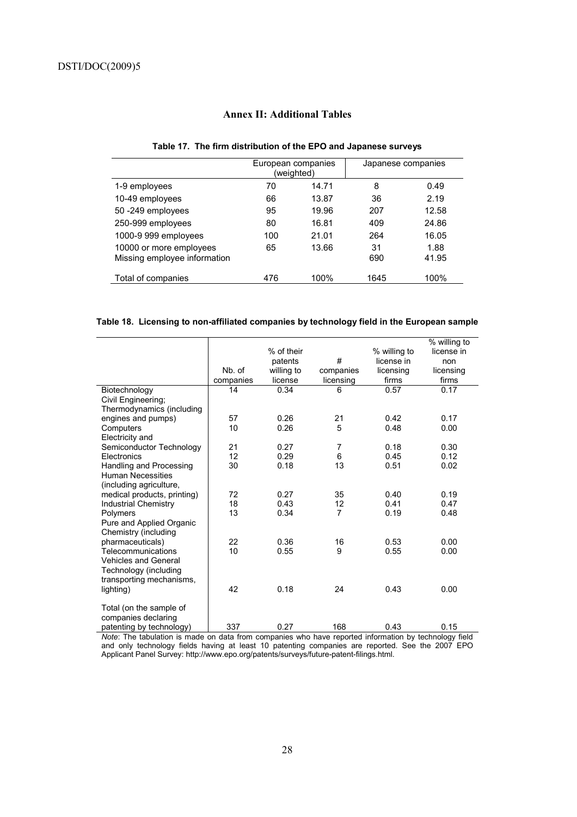# **Annex II: Additional Tables**

#### **Table 17. The firm distribution of the EPO and Japanese surveys**

|                                                         | European companies<br>(weighted) |       | Japanese companies |               |
|---------------------------------------------------------|----------------------------------|-------|--------------------|---------------|
| 1-9 employees                                           | 70                               | 14.71 | 8                  | 0.49          |
| 10-49 employees                                         | 66                               | 13.87 | 36                 | 2.19          |
| 50-249 employees                                        | 95                               | 19.96 | 207                | 12.58         |
| 250-999 employees                                       | 80                               | 16.81 | 409                | 24.86         |
| 1000-9 999 employees                                    | 100                              | 21.01 | 264                | 16.05         |
| 10000 or more employees<br>Missing employee information | 65                               | 13.66 | 31<br>690          | 1.88<br>41.95 |
| Total of companies                                      | 476                              | 100%  | 1645               | 100%          |

#### **Table 18. Licensing to non-affiliated companies by technology field in the European sample**

|                             |           |            |                |              | % willing to |
|-----------------------------|-----------|------------|----------------|--------------|--------------|
|                             |           | % of their |                | % willing to | license in   |
|                             |           | patents    | #              | license in   | non          |
|                             | Nb. of    | willing to | companies      | licensing    | licensing    |
|                             | companies | license    | licensing      | firms        | firms        |
| Biotechnology               | 14        | 0.34       | 6              | 0.57         | 0.17         |
| Civil Engineering;          |           |            |                |              |              |
| Thermodynamics (including   |           |            |                |              |              |
| engines and pumps)          | 57        | 0.26       | 21             | 0.42         | 0.17         |
| Computers                   | 10        | 0.26       | 5              | 0.48         | 0.00         |
| Electricity and             |           |            |                |              |              |
| Semiconductor Technology    | 21        | 0.27       | 7              | 0.18         | 0.30         |
| Electronics                 | 12        | 0.29       | $\,6$          | 0.45         | 0.12         |
| Handling and Processing     | 30        | 0.18       | 13             | 0.51         | 0.02         |
| <b>Human Necessities</b>    |           |            |                |              |              |
| (including agriculture,     |           |            |                |              |              |
| medical products, printing) | 72        | 0.27       | 35             | 0.40         | 0.19         |
| <b>Industrial Chemistry</b> | 18        | 0.43       | 12             | 0.41         | 0.47         |
| Polymers                    | 13        | 0.34       | $\overline{7}$ | 0.19         | 0.48         |
| Pure and Applied Organic    |           |            |                |              |              |
| Chemistry (including        |           |            |                |              |              |
| pharmaceuticals)            | 22        | 0.36       | 16             | 0.53         | 0.00         |
| Telecommunications          | 10        | 0.55       | 9              | 0.55         | 0.00         |
| <b>Vehicles and General</b> |           |            |                |              |              |
| Technology (including       |           |            |                |              |              |
| transporting mechanisms,    |           |            |                |              |              |
| lighting)                   | 42        | 0.18       | 24             | 0.43         | 0.00         |
|                             |           |            |                |              |              |
| Total (on the sample of     |           |            |                |              |              |
| companies declaring         |           |            |                |              |              |
| patenting by technology)    | 337       | 0.27       | 168            | 0.43         | 0.15         |

*Note*: The tabulation is made on data from companies who have reported information by technology field and only technology fields having at least 10 patenting companies are reported. See the 2007 EPO Applicant Panel Survey: http://www.epo.org/patents/surveys/future-patent-filings.html.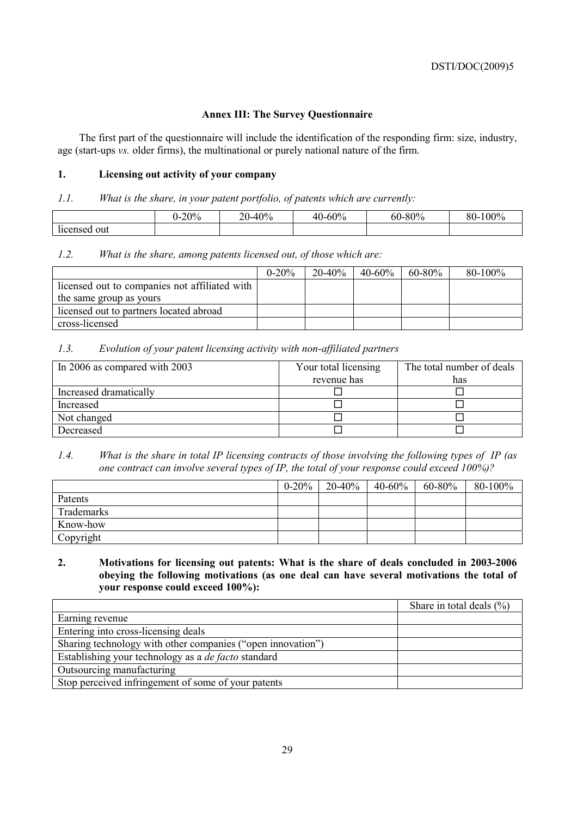## **Annex III: The Survey Questionnaire**

The first part of the questionnaire will include the identification of the responding firm: size, industry, age (start-ups *vs.* older firms), the multinational or purely national nature of the firm.

## **1. Licensing out activity of your company**

## *1.1. What is the share, in your patent portfolio, of patents which are currently:*

|                        | $-20%$ | 40%<br>า∩<br>– V | 40-60% | $-80%$<br>60. | 100%<br>Q <sub>0</sub><br>ov- |
|------------------------|--------|------------------|--------|---------------|-------------------------------|
| . .<br>out<br>licensed |        |                  |        |               |                               |

## *1.2. What is the share, among patents licensed out, of those which are:*

|                                               | $0 - 20%$ | $20 - 40\%$ | $40 - 60\%$ | $60 - 80\%$ | $80 - 100\%$ |
|-----------------------------------------------|-----------|-------------|-------------|-------------|--------------|
| licensed out to companies not affiliated with |           |             |             |             |              |
| the same group as yours                       |           |             |             |             |              |
| licensed out to partners located abroad       |           |             |             |             |              |
| cross-licensed                                |           |             |             |             |              |

## *1.3. Evolution of your patent licensing activity with non-affiliated partners*

| In 2006 as compared with 2003 | Your total licensing | The total number of deals |  |
|-------------------------------|----------------------|---------------------------|--|
|                               | revenue has          | has                       |  |
| Increased dramatically        |                      |                           |  |
| Increased                     |                      |                           |  |
| Not changed                   |                      |                           |  |
| Decreased                     |                      |                           |  |

## *1.4. What is the share in total IP licensing contracts of those involving the following types of IP (as one contract can involve several types of IP, the total of your response could exceed 100%)?*

|            | $0 - 20\%$ | $20 - 40\%$ | 40-60% | 60-80% | $80 - 100\%$ |
|------------|------------|-------------|--------|--------|--------------|
| Patents    |            |             |        |        |              |
| Trademarks |            |             |        |        |              |
| Know-how   |            |             |        |        |              |
| Copyright  |            |             |        |        |              |

## **2. Motivations for licensing out patents: What is the share of deals concluded in 2003-2006 obeying the following motivations (as one deal can have several motivations the total of your response could exceed 100%):**

|                                                             | Share in total deals $(\% )$ |
|-------------------------------------------------------------|------------------------------|
| Earning revenue                                             |                              |
| Entering into cross-licensing deals                         |                              |
| Sharing technology with other companies ("open innovation") |                              |
| Establishing your technology as a <i>de facto</i> standard  |                              |
| Outsourcing manufacturing                                   |                              |
| Stop perceived infringement of some of your patents         |                              |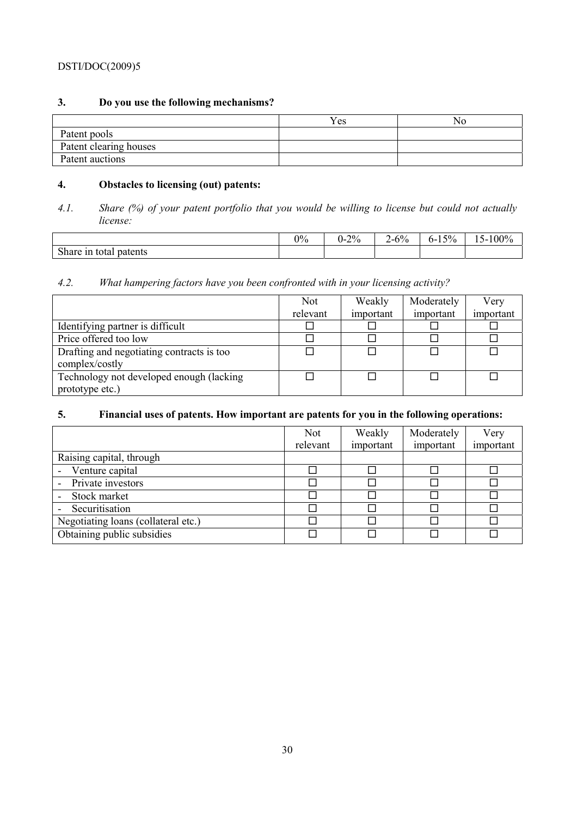# **3. Do you use the following mechanisms?**

|                        | v T<br>Y es | N0 |
|------------------------|-------------|----|
| Patent pools           |             |    |
| Patent clearing houses |             |    |
| Patent auctions        |             |    |

# **4. Obstacles to licensing (out) patents:**

*<sup>4.1.</sup> Share (%) of your patent portfolio that you would be willing to license but could not actually license:* 

|                                          | $\gamma_0$ | $0 - 2\%$ | $2 - 6\%$ | $5\%$<br>$0 -$<br>⊥ັ | $5 - 100\%$<br>$\sim$ |
|------------------------------------------|------------|-----------|-----------|----------------------|-----------------------|
| $\sim$ 1<br>patents<br>total<br>Share in |            |           |           |                      |                       |

# *4.2. What hampering factors have you been confronted with in your licensing activity?*

|                                           | <b>Not</b> | Weakly    | Moderately | Very      |
|-------------------------------------------|------------|-----------|------------|-----------|
|                                           | relevant   | important | important  | important |
| Identifying partner is difficult          |            |           |            |           |
| Price offered too low                     |            |           |            |           |
| Drafting and negotiating contracts is too |            |           |            |           |
| complex/costly                            |            |           |            |           |
| Technology not developed enough (lacking) |            |           |            |           |
| prototype etc.)                           |            |           |            |           |

# **5. Financial uses of patents. How important are patents for you in the following operations:**

|                                     | <b>Not</b> | Weakly    | Moderately | Very      |
|-------------------------------------|------------|-----------|------------|-----------|
|                                     | relevant   | important | important  | important |
| Raising capital, through            |            |           |            |           |
| Venture capital                     |            |           |            |           |
| Private investors                   |            |           |            |           |
| Stock market                        |            |           |            |           |
| Securitisation                      |            |           |            |           |
| Negotiating loans (collateral etc.) |            |           |            |           |
| Obtaining public subsidies          |            |           |            |           |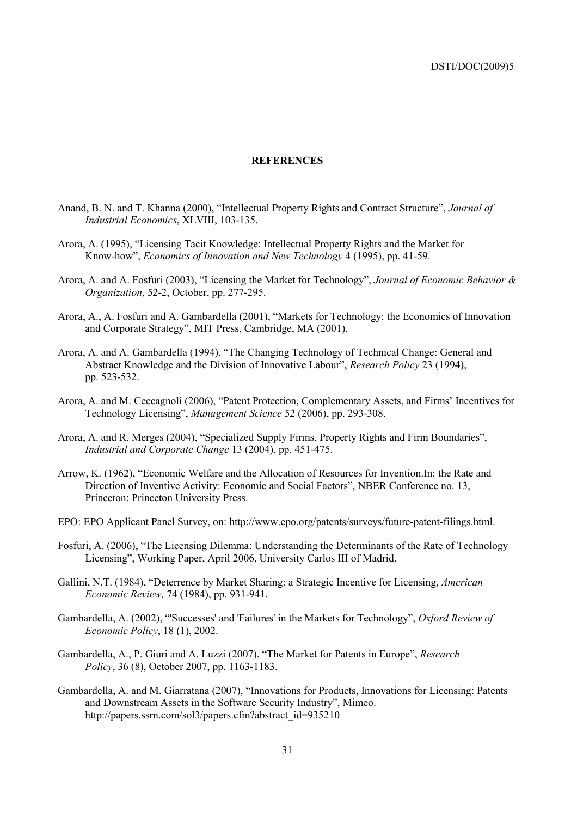#### **REFERENCES**

- Anand, B. N. and T. Khanna (2000), "Intellectual Property Rights and Contract Structure", *Journal of Industrial Economics*, XLVIII, 103-135.
- Arora, A. (1995), "Licensing Tacit Knowledge: Intellectual Property Rights and the Market for Know-how", *Economics of Innovation and New Technology* 4 (1995), pp. 41-59.
- Arora, A. and A. Fosfuri (2003), "Licensing the Market for Technology", *Journal of Economic Behavior & Organization*, 52-2, October, pp. 277-295.
- Arora, A., A. Fosfuri and A. Gambardella (2001), "Markets for Technology: the Economics of Innovation and Corporate Strategy", MIT Press, Cambridge, MA (2001).
- Arora, A. and A. Gambardella (1994), "The Changing Technology of Technical Change: General and Abstract Knowledge and the Division of Innovative Labour", *Research Policy* 23 (1994), pp. 523-532.
- Arora, A. and M. Ceccagnoli (2006), "Patent Protection, Complementary Assets, and Firms' Incentives for Technology Licensing", *Management Science* 52 (2006), pp. 293-308.
- Arora, A. and R. Merges (2004), "Specialized Supply Firms, Property Rights and Firm Boundaries", *Industrial and Corporate Change* 13 (2004), pp. 451-475.
- Arrow, K. (1962), "Economic Welfare and the Allocation of Resources for Invention.In: the Rate and Direction of Inventive Activity: Economic and Social Factors", NBER Conference no. 13, Princeton: Princeton University Press.
- EPO: EPO Applicant Panel Survey, on: http://www.epo.org/patents/surveys/future-patent-filings.html.
- Fosfuri, A. (2006), "The Licensing Dilemma: Understanding the Determinants of the Rate of Technology Licensing", Working Paper, April 2006, University Carlos III of Madrid.
- Gallini, N.T. (1984), "Deterrence by Market Sharing: a Strategic Incentive for Licensing, *American Economic Review,* 74 (1984), pp. 931-941.
- Gambardella, A. (2002), "'Successes' and 'Failures' in the Markets for Technology", *Oxford Review of Economic Policy*, 18 (1), 2002.
- Gambardella, A., P. Giuri and A. Luzzi (2007), "The Market for Patents in Europe", *Research Policy*, 36 (8), October 2007, pp. 1163-1183.
- Gambardella, A. and M. Giarratana (2007), "Innovations for Products, Innovations for Licensing: Patents and Downstream Assets in the Software Security Industry", Mimeo. http://papers.ssrn.com/sol3/papers.cfm?abstract\_id=935210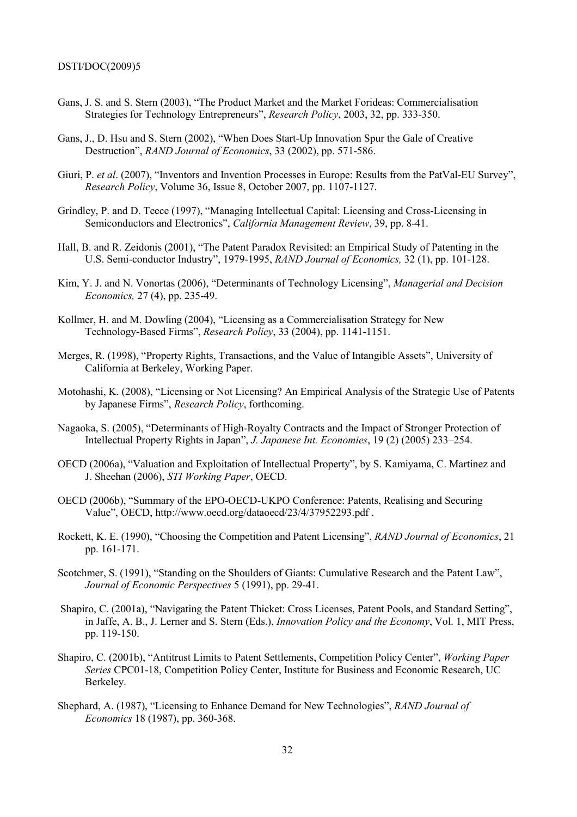- Gans, J. S. and S. Stern (2003), "The Product Market and the Market Forideas: Commercialisation Strategies for Technology Entrepreneurs", *Research Policy*, 2003, 32, pp. 333-350.
- Gans, J., D. Hsu and S. Stern (2002), "When Does Start-Up Innovation Spur the Gale of Creative Destruction", *RAND Journal of Economics*, 33 (2002), pp. 571-586.
- Giuri, P. *et al.* (2007), "Inventors and Invention Processes in Europe: Results from the PatVal-EU Survey", *Research Policy*, Volume 36, Issue 8, October 2007, pp. 1107-1127.
- Grindley, P. and D. Teece (1997), "Managing Intellectual Capital: Licensing and Cross-Licensing in Semiconductors and Electronics", *California Management Review*, 39, pp. 8-41.
- Hall, B. and R. Zeidonis (2001), "The Patent Paradox Revisited: an Empirical Study of Patenting in the U.S. Semi-conductor Industry", 1979-1995, *RAND Journal of Economics,* 32 (1), pp. 101-128.
- Kim, Y. J. and N. Vonortas (2006), "Determinants of Technology Licensing", *Managerial and Decision Economics,* 27 (4), pp. 235-49.
- Kollmer, H. and M. Dowling (2004), "Licensing as a Commercialisation Strategy for New Technology-Based Firms", *Research Policy*, 33 (2004), pp. 1141-1151.
- Merges, R. (1998), "Property Rights, Transactions, and the Value of Intangible Assets", University of California at Berkeley, Working Paper.
- Motohashi, K. (2008), "Licensing or Not Licensing? An Empirical Analysis of the Strategic Use of Patents by Japanese Firms", *Research Policy*, forthcoming.
- Nagaoka, S. (2005), "Determinants of High-Royalty Contracts and the Impact of Stronger Protection of Intellectual Property Rights in Japan", *J. Japanese Int. Economies*, 19 (2) (2005) 233–254.
- OECD (2006a), "Valuation and Exploitation of Intellectual Property", by S. Kamiyama, C. Martinez and J. Sheehan (2006), *STI Working Paper*, OECD.
- OECD (2006b), "Summary of the EPO-OECD-UKPO Conference: Patents, Realising and Securing Value", OECD, http://www.oecd.org/dataoecd/23/4/37952293.pdf .
- Rockett, K. E. (1990), "Choosing the Competition and Patent Licensing", *RAND Journal of Economics*, 21 pp. 161-171.
- Scotchmer, S. (1991), "Standing on the Shoulders of Giants: Cumulative Research and the Patent Law", *Journal of Economic Perspectives* 5 (1991), pp. 29-41.
- Shapiro, C. (2001a), "Navigating the Patent Thicket: Cross Licenses, Patent Pools, and Standard Setting", in Jaffe, A. B., J. Lerner and S. Stern (Eds.), *Innovation Policy and the Economy*, Vol. 1, MIT Press, pp. 119-150.
- Shapiro, C. (2001b), "Antitrust Limits to Patent Settlements, Competition Policy Center", *Working Paper Series* CPC01-18, Competition Policy Center, Institute for Business and Economic Research, UC Berkeley.
- Shephard, A. (1987), "Licensing to Enhance Demand for New Technologies", *RAND Journal of Economics* 18 (1987), pp. 360-368.